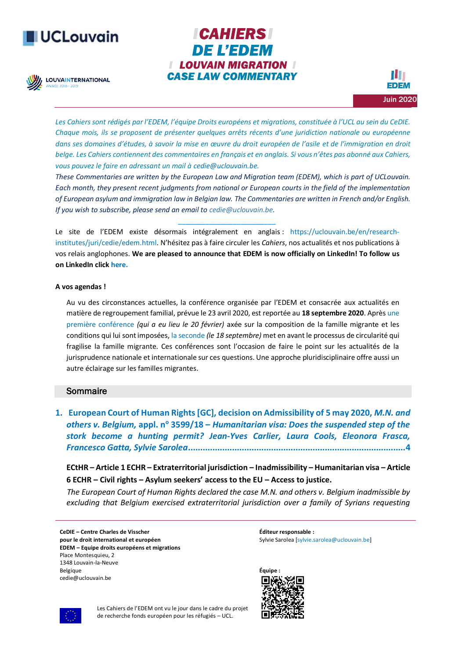# **UCLouvain**

**LOUVAINTERNATIONAL** 

**CAHIERS DE L'EDEM I LOUVAIN MIGRATION I CASE LAW COMMENTARY** 

*Les Cahiers sont rédigés par l'[EDEM](http://www.uclouvain.be/423125), l'équipe Droits européens et migrations, constituée à l'UCL au sein du CeDIE. Chaque mois, ils se proposent de présenter quelques arrêts récents d'une juridiction nationale ou européenne dans ses domaines d'études, à savoir la mise en œuvre du droit européen de l'asile et de l'immigration en droit belge. Les Cahiers contiennent des commentaires en français et en anglais. Si vous n'êtes pas abonné aux Cahiers, vous pouvez le faire en adressant un mail à [cedie@uclouvain.be.](mailto:cedie@uclouvain.be)*

*These Commentaries are written by the European Law and Migration team (EDEM), which is part of UCLouvain. Each month, they present recent judgments from national or European courts in the field of the implementation of European asylum and immigration law in Belgian law. The Commentaries are written in French and/or English. If you wish to subscribe, please send an email to [cedie@uclouvain.be.](mailto:cedie@uclouvain.be)*

Le site de l'EDEM existe désormais intégralement en anglais : [https://uclouvain.be/en/research](https://uclouvain.be/en/research-institutes/juri/cedie/edem.html)[institutes/juri/cedie/edem.html](https://uclouvain.be/en/research-institutes/juri/cedie/edem.html). N'hésitez pas à faire circuler les *Cahiers*, nos actualités et nos publications à vos relais anglophones. **We are pleased to announce that EDEM is now officially on LinkedIn! To follow us on LinkedIn clic[k here.](https://www.linkedin.com/company/37572750)** 

*\_\_\_\_\_\_\_\_\_\_\_\_\_\_\_\_\_\_\_\_\_\_\_\_\_*

#### **A vos agendas !**

Au vu des circonstances actuelles, la conférence organisée par l'EDEM et consacrée aux actualités en matière de regroupement familial, prévue le 23 avril 2020, est reportée au **18 septembre 2020**. Après [une](https://uclouvain.be/fr/instituts-recherche/juri/cedie/evenements/formation-droit-regroupement-familial.html)  [première conférence](https://uclouvain.be/fr/instituts-recherche/juri/cedie/evenements/formation-droit-regroupement-familial.html) *(qui a eu lieu le 20 février)* axée sur la composition de la famille migrante et les conditions qui lui sont imposées, [la seconde](https://uclouvain.be/fr/instituts-recherche/juri/cedie/evenements/formation-le-droit-au-regroupement-familial-sous-tension.html) *(le 18 septembre)* met en avant le processus de circularité qui fragilise la famille migrante. Ces conférences sont l'occasion de faire le point sur les actualités de la jurisprudence nationale et internationale sur ces questions. Une approche pluridisciplinaire offre aussi un autre éclairage sur les familles migrantes.

## Sommaire

**1. [European Court of Human Rights\[GC\], decision on Admissibility of 5 may 2020,](#page-3-0)** *M.N. and others v. Belgium,* **appl. n<sup>o</sup> 3599/18 –** *[Humanitarian visa: Does the suspended step of the](#page-3-0)  stork become a hunting permit? [Jean-Yves Carlier, Laura Cools, Eleonora Frasca,](#page-3-0)  Francesco Gatta, Sylvie Sarolea***[.........................................................................................4](#page-3-0)**

**ECtHR – Article 1 ECHR – Extraterritorial jurisdiction – Inadmissibility – Humanitarian visa – Article 6 ECHR – Civil rights – Asylum seekers' access to the EU – Access to justice.**

 *The European Court of Human Rights declared the case M.N. and others v. Belgium inadmissible by excluding that Belgium exercised extraterritorial jurisdiction over a family of Syrians requesting* 

**CeDIE – Centre Charles de Visscher pour le droit international et européen EDEM – Equipe droits européens et migrations** Place Montesquieu, 2 1348 Louvain-la-Neuve Belgique cedie@uclouvain.be

**Éditeur responsable :** Sylvie Sarolea [\[sylvie.sarolea@uclouvain.be\]](mailto:sylvie.sarolea@uclouvain.be)





Les Cahiers de l'EDEM ont vu le jour dans le cadre du projet de recherche fonds européen pour les réfugiés – UCL.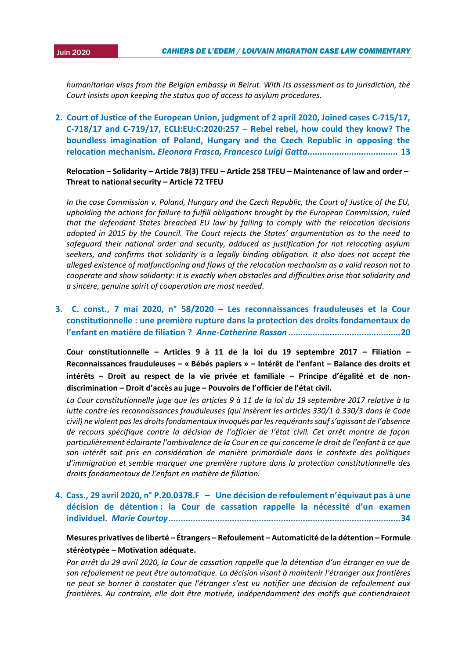2015*humanitarian visas from the Belgian embassy in Beirut. With its assessment as to jurisdiction, the Court insists upon keeping the status quo of access to asylum procedures.*

**2. [Court of Justice of the European Union, judgment of 2 april 2020, Joined cases C-715/17,](#page-12-0)  [C-718/17 and C-719/17, ECLI:EU:C:2020:257](#page-12-0) – Rebel rebel, how could they know? The [boundless imagination of Poland, Hungary and the Czech Republic in opposing the](#page-12-0)  relocation mechanism***[. Eleonora Frasca, Francesco Luigi Gatta.....................................](#page-12-0)* **13**

**Relocation – Solidarity – Article 78(3) TFEU – Article 258 TFEU – Maintenance of law and order – Threat to national security – Article 72 TFEU** 

*In the case Commission v. Poland, Hungary and the Czech Republic, the Court of Justice of the EU, upholding the actions for failure to fulfill obligations brought by the European Commission, ruled that the defendant States breached EU law by failing to comply with the relocation decisions adopted in 2015 by the Council. The Court rejects the States' argumentation as to the need to safeguard their national order and security, adduced as justification for not relocating asylum seekers, and confirms that solidarity is a legally binding obligation. It also does not accept the alleged existence of malfunctioning and flaws of the relocation mechanism as a valid reason not to cooperate and show solidarity: it is exactly when obstacles and difficulties arise that solidarity and a sincere, genuine spirit of cooperation are most needed.*

## **3. C. const., 7 mai 2020, n° 58/2020 – [Les reconnaissances frauduleuses et la Cour](#page-19-0)  constitutionnelle [: une première rupture dans la protection des droits fondamentaux de](#page-19-0)  l'enfant en matière de filiation ?** *Anne-Catherine Rasson* **[..............................................20](#page-19-0)**

**Cour constitutionnelle – Articles 9 à 11 de la loi du 19 septembre 2017 – Filiation – Reconnaissances frauduleuses – « Bébés papiers » – Intérêt de l'enfant – Balance des droits et intérêts – Droit au respect de la vie privée et familiale – Principe d'égalité et de nondiscrimination – Droit d'accès au juge – Pouvoirs de l'officier de l'état civil.**

*La Cour constitutionnelle juge que les articles 9 à 11 de la loi du 19 septembre 2017 relative à la lutte contre les reconnaissances frauduleuses (qui insèrent les articles 330/1 à 330/3 dans le Code civil) ne violent pas les droits fondamentaux invoqués par les requérants sauf s'agissant de l'absence de recours spécifique contre la décision de l'officier de l'état civil. Cet arrêt montre de façon particulièrement éclairante l'ambivalence de la Cour en ce qui concerne le droit de l'enfant à ce que son intérêt soit pris en considération de manière primordiale dans le contexte des politiques d'immigration et semble marquer une première rupture dans la protection constitutionnelle des droits fondamentaux de l'enfant en matière de filiation.*

**4. Cass., 29 avril 2020, n° P.20.0378.F – [Une décision de refoulement n'équivaut pas à une](#page-33-0)  décision de détention [: la Cour de cassation rappelle la nécessité d'un](#page-33-0) examen individuel.** *Marie Courtoy***[...............................................................................................34](#page-33-0)**

## **Mesures privatives de liberté – Étrangers – Refoulement – Automaticité de la détention – Formule stéréotypée – Motivation adéquate.**

*Par arrêt du 29 avril 2020, la Cour de cassation rappelle que la détention d'un étranger en vue de son refoulement ne peut être automatique. La décision visant à maintenir l'étranger aux frontières ne peut se borner à constater que l'étranger s'est vu notifier une décision de refoulement aux frontières. Au contraire, elle doit être motivée, indépendamment des motifs que contiendraient*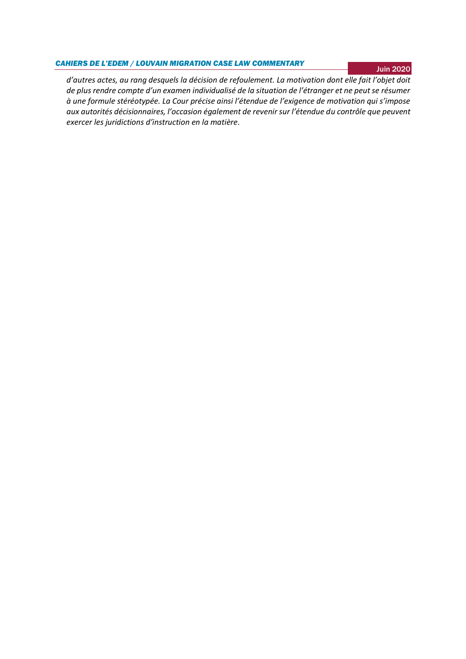#### *CAHIERS DE L'EDEM / LOUVAIN MIGRATION CASE LAW COMMENTARY*

Juin 2020

*d'autres actes, au rang desquels la décision de refoulement. La motivation dont elle fait l'objet doit de plus rendre compte d'un examen individualisé de la situation de l'étranger et ne peut se résumer à une formule stéréotypée. La Cour précise ainsi l'étendue de l'exigence de motivation qui s'impose aux autorités décisionnaires, l'occasion également de revenir sur l'étendue du contrôle que peuvent exercer les juridictions d'instruction en la matière.*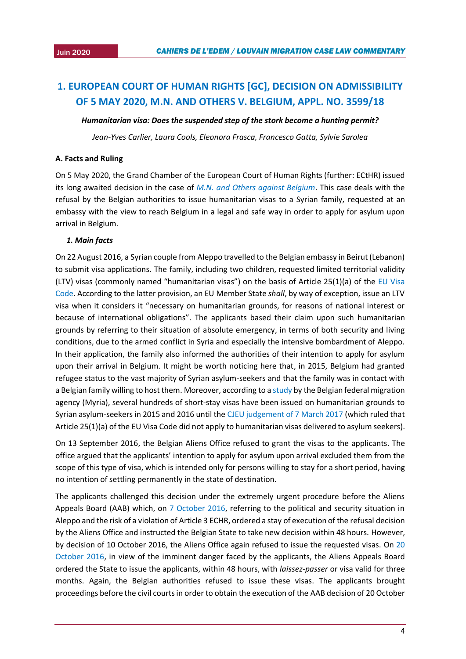## <span id="page-3-0"></span>**1. EUROPEAN COURT OF HUMAN RIGHTS [GC], DECISION ON ADMISSIBILITY OF 5 MAY 2020, M.N. AND OTHERS V. BELGIUM, APPL. NO. 3599/18**

#### *Humanitarian visa: Does the suspended step of the stork become a hunting permit?*

*Jean-Yves Carlier, Laura Cools, Eleonora Frasca, Francesco Gatta, Sylvie Sarolea*

#### **A. Facts and Ruling**

On 5 May 2020, the Grand Chamber of the European Court of Human Rights (further: ECtHR) issued its long awaited decision in the case of *[M.N. and Others against Belgium](https://hudoc.echr.coe.int/eng#{%22itemid%22:[%22001-202468%22]})*. This case deals with the refusal by the Belgian authorities to issue humanitarian visas to a Syrian family, requested at an embassy with the view to reach Belgium in a legal and safe way in order to apply for asylum upon arrival in Belgium.

#### *1. Main facts*

On 22 August 2016, a Syrian couple from Aleppo travelled to the Belgian embassy in Beirut (Lebanon) to submit visa applications. The family, including two children, requested limited territorial validity (LTV) visas (commonly named "humanitarian visas") on the basis of Article 25(1)(a) of the [EU Visa](https://eur-lex.europa.eu/legal-content/EN/TXT/?uri=celex:32009R0810)  [Code.](https://eur-lex.europa.eu/legal-content/EN/TXT/?uri=celex:32009R0810) According to the latter provision, an EU Member State *shall*, by way of exception, issue an LTV visa when it considers it "necessary on humanitarian grounds, for reasons of national interest or because of international obligations". The applicants based their claim upon such humanitarian grounds by referring to their situation of absolute emergency, in terms of both security and living conditions, due to the armed conflict in Syria and especially the intensive bombardment of Aleppo. In their application, the family also informed the authorities of their intention to apply for asylum upon their arrival in Belgium. It might be worth noticing here that, in 2015, Belgium had granted refugee status to the vast majority of Syrian asylum-seekers and that the family was in contact with a Belgian family willing to host them. Moreover, according to a [study](https://emnbelgium.be/sites/default/files/publications/Myriadocs4_Visas_humanitaires%20FR.pdf) by the Belgian federal migration agency (Myria), several hundreds of short-stay visas have been issued on humanitarian grounds to Syrian asylum-seekers in 2015 and 2016 until the [CJEU judgement of 7 March 2017](http://curia.europa.eu/juris/document/document.jsf?docid=188626&mode=req&pageIndex=1&dir=&occ=first&part=1&text=&doclang=EN&cid=2351761) (which ruled that Article 25(1)(a) of the EU Visa Code did not apply to humanitarian visas delivered to asylum seekers).

On 13 September 2016, the Belgian Aliens Office refused to grant the visas to the applicants. The office argued that the applicants' intention to apply for asylum upon arrival excluded them from the scope of this type of visa, which is intended only for persons willing to stay for a short period, having no intention of settling permanently in the state of destination.

The applicants challenged this decision under the extremely urgent procedure before the Aliens Appeals Board (AAB) which, on [7 October 2016,](https://www.rvv-cce.be/sites/default/files/arr/A175973.AN.pdf) referring to the political and security situation in Aleppo and the risk of a violation of Article 3 ECHR, ordered a stay of execution of the refusal decision by the Aliens Office and instructed the Belgian State to take new decision within 48 hours. However, by decision of 10 October 2016, the Aliens Office again refused to issue the requested visas. On [20](https://www.rvv-cce.be/sites/default/files/arr/A176577.AN.pdf)  [October 2016,](https://www.rvv-cce.be/sites/default/files/arr/A176577.AN.pdf) in view of the imminent danger faced by the applicants, the Aliens Appeals Board ordered the State to issue the applicants, within 48 hours, with *laissez-passer* or visa valid for three months. Again, the Belgian authorities refused to issue these visas. The applicants brought proceedings before the civil courts in order to obtain the execution of the AAB decision of 20 October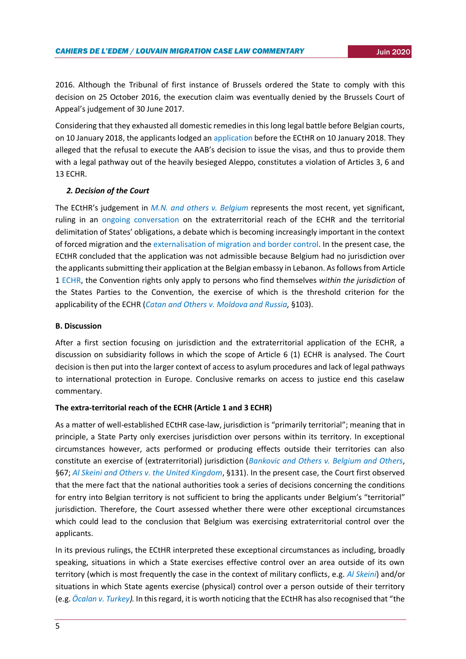2016. Although the Tribunal of first instance of Brussels ordered the State to comply with this decision on 25 October 2016, the execution claim was eventually denied by the Brussels Court of Appeal's judgement of 30 June 2017.

Considering that they exhausted all domestic remedies in this long legal battle before Belgian courts, on 10 January 2018, the applicants lodged an [application](https://hudoc.echr.coe.int/eng#{%22itemid%22:[%22001-182984%22]}) before the ECtHR on 10 January 2018. They alleged that the refusal to execute the AAB's decision to issue the visas, and thus to provide them with a legal pathway out of the heavily besieged Aleppo, constitutes a violation of Articles 3, 6 and 13 ECHR.

## *2. Decision of the Court*

The ECtHR's judgement in *[M.N. and others v. Belgium](https://hudoc.echr.coe.int/eng#{%22itemid%22:[%22001-202468%22]})* represents the most recent, yet significant, ruling in an [ongoing conversation](https://esil-sedi.eu/esil-reflection-due-diligence-and-extraterritorial-human-rights-obligations-mind-the-gap/) on the extraterritorial reach of the ECHR and the territorial delimitation of States' obligations, a debate which is becoming increasingly important in the context of forced migration and the [externalisation of migration and border control.](https://www.researchgate.net/publication/311341154_The_Impact_of_Externalization_of_Migration_Controls_on_the_Rights_of_Asylum_Seekers_and_Other_Migrants) In the present case, the ECtHR concluded that the application was not admissible because Belgium had no jurisdiction over the applicants submitting their application at the Belgian embassy in Lebanon. As follows from Article 1 [ECHR,](https://www.echr.coe.int/Documents/Convention_ENG.pdf) the Convention rights only apply to persons who find themselves *within the jurisdiction* of the States Parties to the Convention, the exercise of which is the threshold criterion for the applicability of the ECHR (*[Catan and Others v. Moldova and Russia,](https://hudoc.echr.coe.int/fre#{%22itemid%22:[%22001-114082%22]})* §103).

## **B. Discussion**

After a first section focusing on jurisdiction and the extraterritorial application of the ECHR, a discussion on subsidiarity follows in which the scope of Article 6 (1) ECHR is analysed. The Court decision is then put into the larger context of access to asylum procedures and lack of legal pathways to international protection in Europe. Conclusive remarks on access to justice end this caselaw commentary.

## **The extra-territorial reach of the ECHR (Article 1 and 3 ECHR)**

As a matter of well-established ECtHR case-law, jurisdiction is "primarily territorial"; meaning that in principle, a State Party only exercises jurisdiction over persons within its territory. In exceptional circumstances however, acts performed or producing effects outside their territories can also constitute an exercise of (extraterritorial) jurisdiction (*[Bankovic and Others v. Belgium and Others](https://hudoc.echr.coe.int/eng#{%22itemid%22:[%22001-22099%22]})*, §67; *[Al Skeini and Others v. the United Kingdom](https://hudoc.echr.coe.int/eng#{%22fulltext%22:[%22bankovic%22],%22documentcollectionid2%22:[%22GRANDCHAMBER%22,%22CHAMBER%22],%22itemid%22:[%22001-105606%22]})*, §131). In the present case, the Court first observed that the mere fact that the national authorities took a series of decisions concerning the conditions for entry into Belgian territory is not sufficient to bring the applicants under Belgium's "territorial" jurisdiction. Therefore, the Court assessed whether there were other exceptional circumstances which could lead to the conclusion that Belgium was exercising extraterritorial control over the applicants.

In its previous rulings, the ECtHR interpreted these exceptional circumstances as including, broadly speaking, situations in which a State exercises effective control over an area outside of its own territory (which is most frequently the case in the context of military conflicts, e.g. *[Al Skeini](https://hudoc.echr.coe.int/eng#{%22fulltext%22:[%22bankovic%22],%22documentcollectionid2%22:[%22GRANDCHAMBER%22,%22CHAMBER%22],%22itemid%22:[%22001-105606%22]})*) and/or situations in which State agents exercise (physical) control over a person outside of their territory (e.g. *[Öcalan v. Turkey\)](https://hudoc.echr.coe.int/eng#{%22itemid%22:[%22001-69022%22]}).* In this regard, it is worth noticing that the ECtHR has also recognised that "the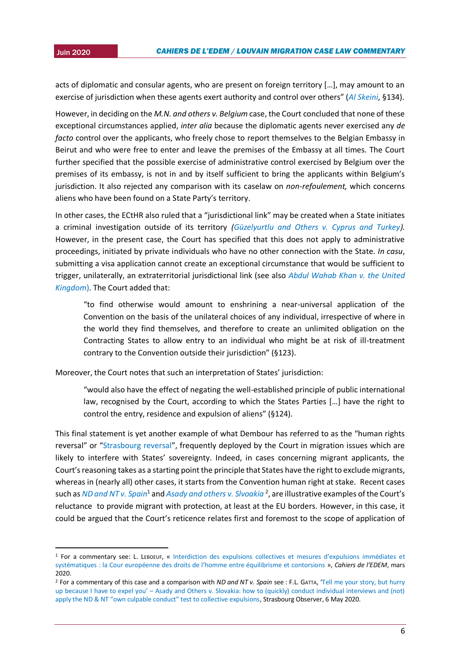1

acts of diplomatic and consular agents, who are present on foreign territory [...], may amount to an exercise of jurisdiction when these agents exert authority and control over others" (*[Al Skeini,](https://hudoc.echr.coe.int/eng#{%22fulltext%22:[%22bankovic%22],%22documentcollectionid2%22:[%22GRANDCHAMBER%22,%22CHAMBER%22],%22itemid%22:[%22001-105606%22]})* §134).

However, in deciding on the *M.N. and others v. Belgium* case, the Court concluded that none of these exceptional circumstances applied, *inter alia* because the diplomatic agents never exercised any *de facto* control over the applicants, who freely chose to report themselves to the Belgian Embassy in Beirut and who were free to enter and leave the premises of the Embassy at all times. The Court further specified that the possible exercise of administrative control exercised by Belgium over the premises of its embassy, is not in and by itself sufficient to bring the applicants within Belgium's jurisdiction. It also rejected any comparison with its caselaw on *non-refoulement,* which concerns aliens who have been found on a State Party's territory.

In other cases, the ECtHR also ruled that a "jurisdictional link" may be created when a State initiates a criminal investigation outside of its territory *[\(Güzelyurtlu and Others v. Cyprus and Turkey\)](https://hudoc.echr.coe.int/spa#{%22itemid%22:[%22001-189781%22]}).* However, in the present case, the Court has specified that this does not apply to administrative proceedings, initiated by private individuals who have no other connection with the State. *In casu*, submitting a visa application cannot create an exceptional circumstance that would be sufficient to trigger, unilaterally, an extraterritorial jurisdictional link (see also *[Abdul Wahab Khan v. the United](https://hudoc.echr.coe.int/fre#{%22itemid%22:[%22001-141293%22]})  [Kingdom](https://hudoc.echr.coe.int/fre#{%22itemid%22:[%22001-141293%22]})*). The Court added that:

"to find otherwise would amount to enshrining a near-universal application of the Convention on the basis of the unilateral choices of any individual, irrespective of where in the world they find themselves, and therefore to create an unlimited obligation on the Contracting States to allow entry to an individual who might be at risk of ill-treatment contrary to the Convention outside their jurisdiction" (§123).

Moreover, the Court notes that such an interpretation of States' jurisdiction:

"would also have the effect of negating the well-established principle of public international law, recognised by the Court, according to which the States Parties […] have the right to control the entry, residence and expulsion of aliens" (§124).

This final statement is yet another example of what Dembour has referred to as the "human rights reversal" or "[Strasbourg reversal](https://global.oup.com/academic/product/when-humans-become-migrants-9780199667840?cc=nl&lang=en&)", frequently deployed by the Court in migration issues which are likely to interfere with States' sovereignty. Indeed, in cases concerning migrant applicants, the Court's reasoning takes as a starting point the principle that States have the right to exclude migrants, whereas in (nearly all) other cases, it starts from the Convention human right at stake. Recent cases such as *[ND and NT v. Spain](https://hudoc.echr.coe.int/eng#{"itemid":["001-201353"]})*<sup>1</sup> and *[Asady and others](https://hudoc.echr.coe.int/eng#{"itemid":["001-201870"]}) v. Slvoakia* <sup>2</sup> , are illustrative examples of the Court's reluctance to provide migrant with protection, at least at the EU borders. However, in this case, it could be argued that the Court's reticence relates first and foremost to the scope of application of

<sup>1</sup> For a commentary see: L. LEBOEUF, « [Interdiction des expulsions collectives et mesures d'expulsions immédiates e](https://uclouvain.be/fr/instituts-recherche/juri/cedie/actualites/cour-eur-d-h-13-fevrier-2020-n-d-et-n-t-c-espagne-req-nos-8675-15-et-8697-15.html)t [systématiques : la Cour européenne des droits de l'homme entre équilibrisme et contorsions](https://uclouvain.be/fr/instituts-recherche/juri/cedie/actualites/cour-eur-d-h-13-fevrier-2020-n-d-et-n-t-c-espagne-req-nos-8675-15-et-8697-15.html) », *Cahiers de l'EDEM*, mars 2020.

<sup>2</sup> For a commentary of this case and a comparison with *ND and NT v. Spain* see : F.L. GATTA, '[Tell me your story, but hurry](https://strasbourgobservers.com/2020/05/06/tell-me-your-story-but-hurry-up-because-i-have-to-expel-you-asady-and-others-v-slovakia-how-to-quickly-conduct-individual-interviews-and-not-apply-the-nd-nt-own-cul/)  up because I have to expel you' – Asady [and Others v. Slovakia: how to \(quickly\) conduct individual interviews and \(not\)](https://strasbourgobservers.com/2020/05/06/tell-me-your-story-but-hurry-up-because-i-have-to-expel-you-asady-and-others-v-slovakia-how-to-quickly-conduct-individual-interviews-and-not-apply-the-nd-nt-own-cul/)  [apply the ND & NT "own culpable conduct" test to collective expulsions](https://strasbourgobservers.com/2020/05/06/tell-me-your-story-but-hurry-up-because-i-have-to-expel-you-asady-and-others-v-slovakia-how-to-quickly-conduct-individual-interviews-and-not-apply-the-nd-nt-own-cul/), Strasbourg Observer, 6 May 2020.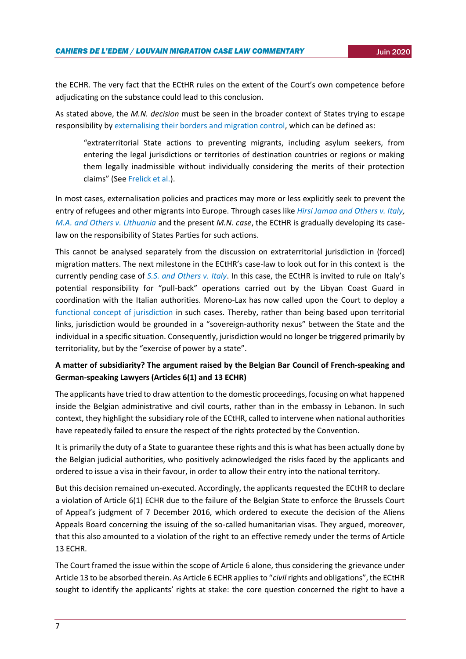the ECHR. The very fact that the ECtHR rules on the extent of the Court's own competence before adjudicating on the substance could lead to this conclusion.

As stated above, the *M.N. decision* must be seen in the broader context of States trying to escape responsibility by [externalising their borders](https://www.researchgate.net/publication/311341154_The_Impact_of_Externalization_of_Migration_Controls_on_the_Rights_of_Asylum_Seekers_and_Other_Migrants) and migration control, which can be defined as:

"extraterritorial State actions to preventing migrants, including asylum seekers, from entering the legal jurisdictions or territories of destination countries or regions or making them legally inadmissible without individually considering the merits of their protection claims" (See [Frelick et al.\)](https://www.hrw.org/sites/default/files/supporting_resources/jmhs.pdf).

In most cases, externalisation policies and practices may more or less explicitly seek to prevent the entry of refugees and other migrants into Europe. Through cases like *[Hirsi Jamaa and Others v. Italy,](https://hudoc.echr.coe.int/spa#{%22itemid%22:[%22001-109231%22]}) [M.A. and Others v. Lithuania](https://www.asylumlawdatabase.eu/sites/default/files/aldfiles/CASE%20OF%20M.A.%20AND%20OTHERS%20v.%20LITHUANIA.pdf)* and the present *M.N. case*, the ECtHR is gradually developing its caselaw on the responsibility of States Parties for such actions.

This cannot be analysed separately from the discussion on extraterritorial jurisdiction in (forced) migration matters. The next milestone in the ECtHR's case-law to look out for in this context is the currently pending case of *[S.S. and Others v. Italy](https://hudoc.echr.coe.int/eng#{"itemid":["001-194748"]})*. In this case, the ECtHR is invited to rule on Italy's potential responsibility for "pull-back" operations carried out by the Libyan Coast Guard in coordination with the Italian authorities. Moreno-Lax has now called upon the Court to deploy a [functional concept of jurisdiction](https://www.cambridge.org/core/journals/german-law-journal/article/architecture-of-functional-jurisdiction-unpacking-contactless-controlon-public-powers-ss-and-others-v-italy-and-the-operational-model/AA2DADF2F1DCDD19E8F9E6E316D7C110) in such cases. Thereby, rather than being based upon territorial links, jurisdiction would be grounded in a "sovereign-authority nexus" between the State and the individual in a specific situation. Consequently, jurisdiction would no longer be triggered primarily by territoriality, but by the "exercise of power by a state".

## **A matter of subsidiarity? The argument raised by the Belgian Bar Council of French-speaking and German-speaking Lawyers (Articles 6(1) and 13 ECHR)**

The applicants have tried to draw attention to the domestic proceedings, focusing on what happened inside the Belgian administrative and civil courts, rather than in the embassy in Lebanon. In such context, they highlight the subsidiary role of the ECtHR, called to intervene when national authorities have repeatedly failed to ensure the respect of the rights protected by the Convention.

It is primarily the duty of a State to guarantee these rights and this is what has been actually done by the Belgian judicial authorities, who positively acknowledged the risks faced by the applicants and ordered to issue a visa in their favour, in order to allow their entry into the national territory.

But this decision remained un-executed. Accordingly, the applicants requested the ECtHR to declare a violation of Article 6(1) ECHR due to the failure of the Belgian State to enforce the Brussels Court of Appeal's judgment of 7 December 2016, which ordered to execute the decision of the Aliens Appeals Board concerning the issuing of the so-called humanitarian visas. They argued, moreover, that this also amounted to a violation of the right to an effective remedy under the terms of Article 13 ECHR.

The Court framed the issue within the scope of Article 6 alone, thus considering the grievance under Article 13 to be absorbed therein. As Article 6 ECHR applies to "*civil* rights and obligations", the ECtHR sought to identify the applicants' rights at stake: the core question concerned the right to have a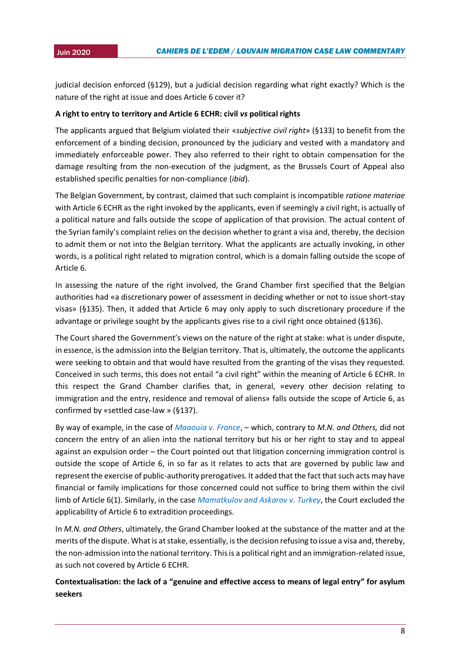judicial decision enforced (§129), but a judicial decision regarding what right exactly? Which is the nature of the right at issue and does Article 6 cover it?

## **A right to entry to territory and Article 6 ECHR: civil** *vs* **political rights**

The applicants argued that Belgium violated their «*subjective civil right*» (§133) to benefit from the enforcement of a binding decision, pronounced by the judiciary and vested with a mandatory and immediately enforceable power. They also referred to their right to obtain compensation for the damage resulting from the non-execution of the judgment, as the Brussels Court of Appeal also established specific penalties for non-compliance (*ibid*).

The Belgian Government, by contrast, claimed that such complaint is incompatible *ratione materiae* with Article 6 ECHR as the right invoked by the applicants, even if seemingly a civil right, is actually of a political nature and falls outside the scope of application of that provision. The actual content of the Syrian family's complaint relies on the decision whether to grant a visa and, thereby, the decision to admit them or not into the Belgian territory. What the applicants are actually invoking, in other words, is a political right related to migration control, which is a domain falling outside the scope of Article 6.

In assessing the nature of the right involved, the Grand Chamber first specified that the Belgian authorities had «a discretionary power of assessment in deciding whether or not to issue short-stay visas» (§135). Then, it added that Article 6 may only apply to such discretionary procedure if the advantage or privilege sought by the applicants gives rise to a civil right once obtained (§136).

The Court shared the Government's views on the nature of the right at stake: what is under dispute, in essence, is the admission into the Belgian territory. That is, ultimately, the outcome the applicants were seeking to obtain and that would have resulted from the granting of the visas they requested. Conceived in such terms, this does not entail "a civil right" within the meaning of Article 6 ECHR. In this respect the Grand Chamber clarifies that, in general, «every other decision relating to immigration and the entry, residence and removal of aliens» falls outside the scope of Article 6, as confirmed by «settled case-law » (§137).

By way of example, in the case of *[Maaouia v. France](https://hudoc.echr.coe.int/fre?i=001-58847)*, – which, contrary to *M.N. and Others,* did not concern the entry of an alien into the national territory but his or her right to stay and to appeal against an expulsion order – the Court pointed out that litigation concerning immigration control is outside the scope of Article 6, in so far as it relates to acts that are governed by public law and represent the exercise of public-authority prerogatives. It added that the fact that such acts may have financial or family implications for those concerned could not suffice to bring them within the civil limb of Article 6(1). Similarly, in the case *[Mamatkulov and Askarov v. Turkey](https://hudoc.echr.coe.int/fre#{"itemid":["001-68183"]})*, the Court excluded the applicability of Article 6 to extradition proceedings.

In *M.N. and Others*, ultimately, the Grand Chamber looked at the substance of the matter and at the merits of the dispute. What is at stake, essentially, is the decision refusing to issue a visa and, thereby, the non-admission into the national territory. This is a political right and an immigration-related issue, as such not covered by Article 6 ECHR.

## **Contextualisation: the lack of a "genuine and effective access to means of legal entry" for asylum seekers**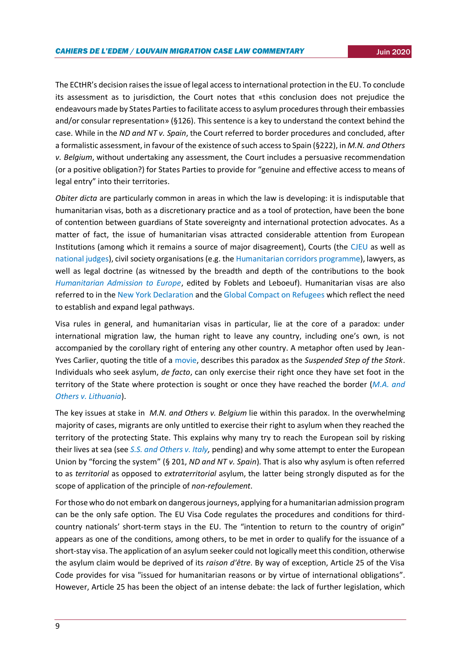The ECtHR's decision raises the issue of legal access to international protection in the EU. To conclude its assessment as to jurisdiction, the Court notes that «this conclusion does not prejudice the endeavours made by States Parties to facilitate access to asylum procedures through their embassies and/or consular representation» (§126). This sentence is a key to understand the context behind the case. While in the *ND and NT v. Spain*, the Court referred to border procedures and concluded, after a formalistic assessment, in favour of the existence of such access to Spain (§222), in *M.N. and Others v. Belgium*, without undertaking any assessment, the Court includes a persuasive recommendation (or a positive obligation?) for States Parties to provide for "genuine and effective access to means of legal entry" into their territories.

*Obiter dicta* are particularly common in areas in which the law is developing: it is indisputable that humanitarian visas, both as a discretionary practice and as a tool of protection, have been the bone of contention between guardians of State sovereignty and international protection advocates. As a matter of fact, the issue of humanitarian visas attracted considerable attention from European Institutions (among which it remains a source of major disagreement), Courts (the [CJEU](https://uclouvain.be/fr/instituts-recherche/juri/cedie/actualites/c-j-u-e-c-638-16-ppu-arret-du-7-mars-2017-x-et-x-ecli-eu-c-2017-173.html) as well as [national judges\)](https://uclouvain.be/fr/instituts-recherche/juri/cedie/actualites/ordinary-tribunal-of-rome-21-february-2019-x-v-ministry-of-foreign-affairs-and-ministry-of-health.html), civil society organisations (e.g. th[e Humanitarian corridors programme\)](https://www.mediterraneanhope.com/wp-content/uploads/2018/03/Executive-Summary-Humanitarian-Corridors.pdf), lawyers, as well as legal doctrine (as witnessed by the breadth and depth of the contributions to the book *[Humanitarian Admission to Europe](https://www.bloomsburyprofessional.com/uk/humanitarian-admission-to-europe-9781509939671/)*, edited by Foblets and Leboeuf). Humanitarian visas are also referred to in the [New York Declaration](https://www.ohchr.org/EN/Issues/Migration/Pages/NewYorkDeclaration.aspx) and the [Global Compact on Refugees](https://www.unhcr.org/gcr/GCR_English.pdf) which reflect the need to establish and expand legal pathways.

Visa rules in general, and humanitarian visas in particular, lie at the core of a paradox: under international migration law, the human right to leave any country, including one's own, is not accompanied by the corollary right of entering any other country. A metaphor often used by Jean-Yves Carlier, quoting the title of a [movie,](https://www.imdb.com/title/tt0102439/) describes this paradox as the *Suspended Step of the Stork*. Individuals who seek asylum, *de facto*, can only exercise their right once they have set foot in the territory of the State where protection is sought or once they have reached the border (*[M.A. and](https://www.asylumlawdatabase.eu/sites/default/files/aldfiles/CASE%20OF%20M.A.%20AND%20OTHERS%20v.%20LITHUANIA.pdf)  [Others v. Lithuania](https://www.asylumlawdatabase.eu/sites/default/files/aldfiles/CASE%20OF%20M.A.%20AND%20OTHERS%20v.%20LITHUANIA.pdf)*).

The key issues at stake in *M.N. and Others v. Belgium* lie within this paradox. In the overwhelming majority of cases, migrants are only untitled to exercise their right to asylum when they reached the territory of the protecting State. This explains why many try to reach the European soil by risking their lives at sea (see *[S.S. and Others v. Italy,](https://hudoc.echr.coe.int/eng#{"itemid":["001-194748"]})* pending) and why some attempt to enter the European Union by "forcing the system" (§ 201, *ND and NT v. Spain*). That is also why asylum is often referred to as *territorial* as opposed to *extraterritorial* asylum, the latter being strongly disputed as for the scope of application of the principle of *non-refoulement*.

For those who do not embark on dangerous journeys, applying for a humanitarian admission program can be the only safe option. The EU Visa Code regulates the procedures and conditions for thirdcountry nationals' short-term stays in the EU. The "intention to return to the country of origin" appears as one of the conditions, among others, to be met in order to qualify for the issuance of a short-stay visa. The application of an asylum seeker could not logically meet this condition, otherwise the asylum claim would be deprived of its *raison d'être*. By way of exception, Article 25 of the Visa Code provides for visa "issued for humanitarian reasons or by virtue of international obligations". However, Article 25 has been the object of an intense debate: the lack of further legislation, which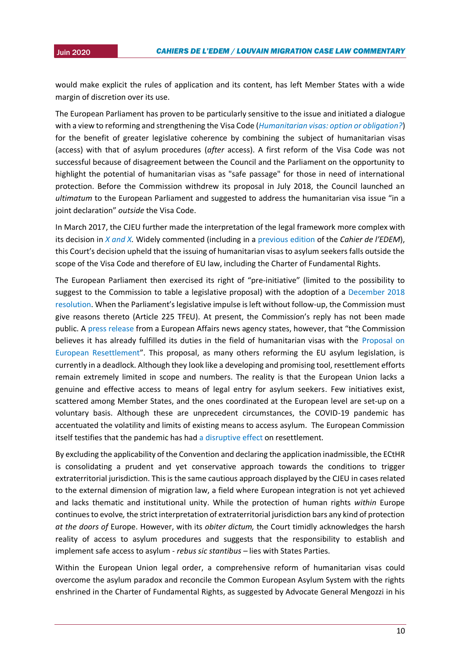would make explicit the rules of application and its content, has left Member States with a wide margin of discretion over its use.

The European Parliament has proven to be particularly sensitive to the issue and initiated a dialogue with a view to reforming and strengthening the Visa Code (*[Humanitarian visas: option or obligation?](http://www.epgencms.europarl.europa.eu/cmsdata/upload/eb469bdf-0e31-40bb-8c75-8db410ab13fc/Session_2_-_Study_Humanitarian_visas.pdf)*) for the benefit of greater legislative coherence by combining the subject of humanitarian visas (access) with that of asylum procedures (*after* access). A first reform of the Visa Code was not successful because of disagreement between the Council and the Parliament on the opportunity to highlight the potential of humanitarian visas as "safe passage" for those in need of international protection. Before the Commission withdrew its proposal in July 2018, the Council launched an *ultimatum* to the European Parliament and suggested to address the humanitarian visa issue "in a joint declaration" *outside* the Visa Code.

In March 2017, the CJEU further made the interpretation of the legal framework more complex with its decision in *[X and X.](http://curia.europa.eu/juris/document/document.jsf;jsessionid=9ea7d2dc30d5b663abe52c4f435cac2fe9dab816c4b8.e34KaxiLc3qMb40Rch0SaxyLahf0?text=&docid=188626&pageIndex=0&doclang=EN&mode=req&dir=&occ=first&part=1&cid=882491)* Widely commented (including in a [previous edition](https://uclouvain.be/fr/instituts-recherche/juri/cedie/actualites/c-j-u-e-c-638-16-ppu-arret-du-7-mars-2017-x-et-x-ecli-eu-c-2017-173.html) of the *Cahier de l'EDEM*), this Court's decision upheld that the issuing of humanitarian visas to asylum seekers falls outside the scope of the Visa Code and therefore of EU law, including the Charter of Fundamental Rights.

The European Parliament then exercised its right of "pre-initiative" (limited to the possibility to suggest to the Commission to table a legislative proposal) with the adoption of a [December 2018](https://www.europarl.europa.eu/doceo/document/TA-8-2018-0494_EN.html?redirect)  [resolution.](https://www.europarl.europa.eu/doceo/document/TA-8-2018-0494_EN.html?redirect) When the Parliament's legislative impulse is left without follow-up, the Commission must give reasons thereto (Article 225 TFEU). At present, the Commission's reply has not been made public. A [press release](https://agenceurope.eu/en/bulletin/article/12200/31) from a European Affairs news agency states, however, that "the Commission believes it has already fulfilled its duties in the field of humanitarian visas with the [Proposal on](https://eur-lex.europa.eu/legal-content/EN/TXT/PDF/?uri=CELEX:52016PC0468&from=EN)  [European Resettlement](https://eur-lex.europa.eu/legal-content/EN/TXT/PDF/?uri=CELEX:52016PC0468&from=EN)". This proposal, as many others reforming the EU asylum legislation, is currently in a deadlock. Although they look like a developing and promising tool, resettlement efforts remain extremely limited in scope and numbers. The reality is that the European Union lacks a genuine and effective access to means of legal entry for asylum seekers. Few initiatives exist, scattered among Member States, and the ones coordinated at the European level are set-up on a voluntary basis. Although these are unprecedent circumstances, the COVID-19 pandemic has accentuated the volatility and limits of existing means to access asylum. The European Commission itself testifies that the pandemic has had [a disruptive effect](https://ec.europa.eu/info/sites/info/files/guidance-implementation-eu-provisions-asylum-retur-procedures-resettlement.pdf) on resettlement.

By excluding the applicability of the Convention and declaring the application inadmissible, the ECtHR is consolidating a prudent and yet conservative approach towards the conditions to trigger extraterritorial jurisdiction. This is the same cautious approach displayed by the CJEU in cases related to the external dimension of migration law, a field where European integration is not yet achieved and lacks thematic and institutional unity. While the protection of human rights *within* Europe continues to evolve*,*the strict interpretation of extraterritorial jurisdiction bars any kind of protection *at the doors of* Europe. However, with its *obiter dictum,* the Court timidly acknowledges the harsh reality of access to asylum procedures and suggests that the responsibility to establish and implement safe access to asylum - *rebus sic stantibus –* lies with States Parties.

Within the European Union legal order, a comprehensive reform of humanitarian visas could overcome the asylum paradox and reconcile the Common European Asylum System with the rights enshrined in the Charter of Fundamental Rights, as suggested by Advocate General Mengozzi in his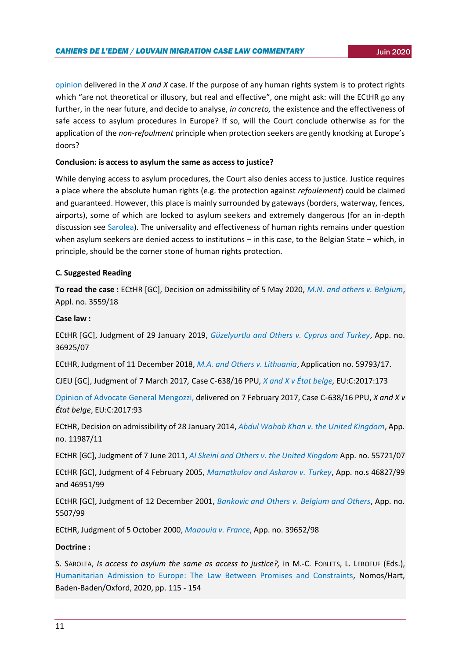[opinion](http://curia.europa.eu/juris/document/document.jsf?text=&docid=187561&pageIndex=0&doclang=EN&mode=lst&dir=&occ=first&part=1&cid=369590) delivered in the *X and X* case. If the purpose of any human rights system is to protect rights which "are not theoretical or illusory, but real and effective", one might ask: will the ECtHR go any further, in the near future, and decide to analyse, *in concreto,* the existence and the effectiveness of safe access to asylum procedures in Europe? If so, will the Court conclude otherwise as for the application of the *non-refoulment* principle when protection seekers are gently knocking at Europe's doors?

## **Conclusion: is access to asylum the same as access to justice?**

While denying access to asylum procedures, the Court also denies access to justice. Justice requires a place where the absolute human rights (e.g. the protection against *refoulement*) could be claimed and guaranteed. However, this place is mainly surrounded by gateways (borders, waterway, fences, airports), some of which are locked to asylum seekers and extremely dangerous (for an in-depth discussion see [Sarolea\)](https://www.bloomsburyprofessional.com/uk/humanitarian-admission-to-europe-9781509939671/). The universality and effectiveness of human rights remains under question when asylum seekers are denied access to institutions – in this case, to the Belgian State – which, in principle, should be the corner stone of human rights protection.

## **C. Suggested Reading**

**To read the case :** ECtHR [GC], Decision on admissibility of 5 May 2020, *M.N. [and others v. Belgium](https://hudoc.echr.coe.int/eng#%7B%22itemid%22:%5B%22001-202468%22%5D%7D)*, Appl. no. 3559/18

## **Case law :**

ECtHR [GC], Judgment of 29 January 2019, *[Güzelyurtlu and Others v. Cyprus and Turkey](https://hudoc.echr.coe.int/spa#{%22itemid%22:[%22001-189781%22]})*, App. no. 36925/07

ECtHR, Judgment of 11 December 2018, *[M.A. and Others v. Lithuania](https://www.asylumlawdatabase.eu/sites/default/files/aldfiles/CASE%20OF%20M.A.%20AND%20OTHERS%20v.%20LITHUANIA.pdf)*, Application no. 59793/17.

CJEU [GC], Judgment of 7 March 2017*,* Case C-638/16 PPU*[, X and X v État belge,](http://curia.europa.eu/juris/document/document.jsf?docid=188626&mode=req&pageIndex=1&dir=&occ=first&part=1&text=&doclang=EN&cid=2351761)* EU:C:2017:173

[Opinion of Advocate General Mengozzi,](http://curia.europa.eu/juris/document/document.jsf?docid=187561&doclang=EN) delivered on 7 February 2017, Case C-638/16 PPU, *X and X v État belge*, EU:C:2017:93

ECtHR, Decision on admissibility of 28 January 2014, *[Abdul Wahab Khan v. the United Kingdom](https://hudoc.echr.coe.int/fre#{%22itemid%22:[%22001-141293%22]})*, App. no. 11987/11

ECtHR [GC], Judgment of 7 June 2011, *[Al Skeini and Others v. the United Kingdom](https://hudoc.echr.coe.int/eng#{%22fulltext%22:[%22bankovic%22],%22documentcollectionid2%22:[%22GRANDCHAMBER%22,%22CHAMBER%22],%22itemid%22:[%22001-105606%22]})* App. no. 55721/07

ECtHR [GC], Judgment of 4 February 2005, *[Mamatkulov and Askarov v.](https://hudoc.echr.coe.int/fre#{"itemid":["001-68183"]}) Turkey*, App. no.s 46827/99 and 46951/99

ECtHR [GC], Judgment of 12 December 2001, *[Bankovic and Others v. Belgium and Others](https://hudoc.echr.coe.int/eng#{%22itemid%22:[%22001-22099%22]})*, App. no. 5507/99

ECtHR, Judgment of 5 October 2000, *[Maaouia v. France](https://hudoc.echr.coe.int/fre?i=001-58847)*, App. no. 39652/98

## **Doctrine :**

S. SAROLEA, *Is access to asylum the same as access to justice?,* in M.-C. FOBLETS, L. LEBOEUF (Eds.), [Humanitarian Admission to Europe:](https://www.bloomsburyprofessional.com/uk/humanitarian-admission-to-europe-9781509939671/) The Law Between Promises and Constraints, Nomos/Hart, Baden-Baden/Oxford, 2020, pp. 115 - 154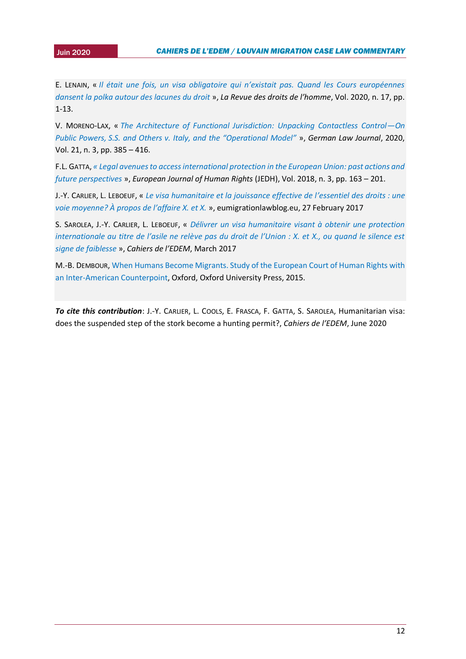2015 E. LENAIN, « *[Il était une fois, un visa obligatoire qui n'existait pas. Quand les Cours européennes](https://journals.openedition.org/revdh/9913)  [dansent la polka autour des lacunes du droit](https://journals.openedition.org/revdh/9913)* », *La Revue des droits de l'homme*, Vol. 2020, n. 17, pp. 1-13.

V. MORENO-LAX, « *[The Architecture of Functional Jurisdiction: Unpacking Contactless Control](https://www.cambridge.org/core/journals/german-law-journal/article/architecture-of-functional-jurisdiction-unpacking-contactless-controlon-public-powers-ss-and-others-v-italy-and-the-operational-model/AA2DADF2F1DCDD19E8F9E6E316D7C110)—On Public Powers, [S.S. and Others v. Italy, and the "Operational Model"](https://www.cambridge.org/core/journals/german-law-journal/article/architecture-of-functional-jurisdiction-unpacking-contactless-controlon-public-powers-ss-and-others-v-italy-and-the-operational-model/AA2DADF2F1DCDD19E8F9E6E316D7C110)* », *German Law Journal*, 2020, Vol. 21, n. 3, pp. 385 – 416.

F.L. GATTA, *[« Legal avenues to access international protection in the European Union: past actions and](https://www.jurisquare.be/en/journal/jedh/2018-3/index.html)  [future perspectives](https://www.jurisquare.be/en/journal/jedh/2018-3/index.html)* », *European Journal of Human Rights* (JEDH), Vol. 2018, n. 3, pp. 163 – 201.

J.-Y. CARLIER, L. LEBOEUF, « *[Le visa humanitaire et la jouissance effective de l](http://eumigrationlawblog.eu/le-visa-humanitaire-et-la-jouissance-effective-de-lessentiel-des-droits-une-voie-moyenne-a-propos-de-laffaire-x-et-x/)'essentiel des droits : une [voie moyenne?](http://eumigrationlawblog.eu/le-visa-humanitaire-et-la-jouissance-effective-de-lessentiel-des-droits-une-voie-moyenne-a-propos-de-laffaire-x-et-x/) À propos de l'affaire X. et X.* », eumigrationlawblog.eu, 27 February 2017

S. SAROLEA, J.-Y. CARLIER, L. LEBOEUF, « *[Délivrer un visa humanitaire visant à obtenir une protection](https://uclouvain.be/fr/instituts-recherche/juri/cedie/actualites/c-j-u-e-c-638-16-ppu-arret-du-7-mars-2017-x-et-x-ecli-eu-c-2017-173.html)  [internationale au titre de l'asile ne relève pas du droit de l'Union : X. et X., ou quand le silence est](https://uclouvain.be/fr/instituts-recherche/juri/cedie/actualites/c-j-u-e-c-638-16-ppu-arret-du-7-mars-2017-x-et-x-ecli-eu-c-2017-173.html)  [signe de faiblesse](https://uclouvain.be/fr/instituts-recherche/juri/cedie/actualites/c-j-u-e-c-638-16-ppu-arret-du-7-mars-2017-x-et-x-ecli-eu-c-2017-173.html)* », *Cahiers de l'EDEM*, March 2017

M.-B. DEMBOUR, [When Humans Become Migrants. Study of the European Court of Human Rights with](https://global.oup.com/academic/product/when-humans-become-migrants-9780199667840?cc=nl&lang=en&)  [an Inter-American Counterpoint,](https://global.oup.com/academic/product/when-humans-become-migrants-9780199667840?cc=nl&lang=en&) Oxford, Oxford University Press, 2015.

*To cite this contribution*: J.-Y. CARLIER, L. COOLS, E. FRASCA, F. GATTA, S. SAROLEA, Humanitarian visa: does the suspended step of the stork become a hunting permit?, *Cahiers de l'EDEM*, June 2020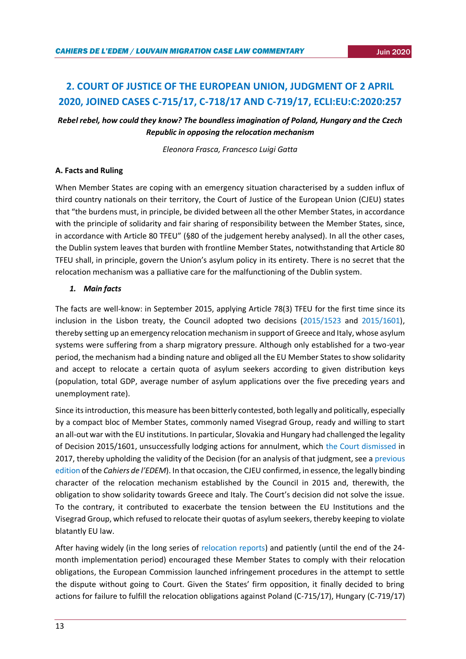## <span id="page-12-0"></span>**2. COURT OF JUSTICE OF THE EUROPEAN UNION, JUDGMENT OF 2 APRIL 2020, JOINED CASES C-715/17, C-718/17 AND C-719/17, ECLI:EU:C:2020:257**

*Rebel rebel, how could they know? The boundless imagination of Poland, Hungary and the Czech Republic in opposing the relocation mechanism*

*Eleonora Frasca, Francesco Luigi Gatta*

## **A. Facts and Ruling**

When Member States are coping with an emergency situation characterised by a sudden influx of third country nationals on their territory, the Court of Justice of the European Union (CJEU) states that "the burdens must, in principle, be divided between all the other Member States, in accordance with the principle of solidarity and fair sharing of responsibility between the Member States, since, in accordance with Article 80 TFEU" (§80 of the judgement hereby analysed). In all the other cases, the Dublin system leaves that burden with frontline Member States, notwithstanding that Article 80 TFEU shall, in principle, govern the Union's asylum policy in its entirety. There is no secret that the relocation mechanism was a palliative care for the malfunctioning of the Dublin system.

## *1. Main facts*

The facts are well-know: in September 2015, applying Article 78(3) TFEU for the first time since its inclusion in the Lisbon treaty, the Council adopted two decisions [\(2015/1523](https://eur-lex.europa.eu/legal-content/EN/TXT/PDF/?uri=CELEX:32015D1523&from=IT) and [2015/1601\)](https://eur-lex.europa.eu/legal-content/EN/TXT/PDF/?uri=CELEX:32015D1601&from=EN), thereby setting up an emergency relocation mechanism in support of Greece and Italy, whose asylum systems were suffering from a sharp migratory pressure. Although only established for a two-year period, the mechanism had a binding nature and obliged all the EU Member States to show solidarity and accept to relocate a certain quota of asylum seekers according to given distribution keys (population, total GDP, average number of asylum applications over the five preceding years and unemployment rate).

Since its introduction, this measure has been bitterly contested, both legally and politically, especially by a compact bloc of Member States, commonly named Visegrad Group, ready and willing to start an all-out war with the EU institutions. In particular, Slovakia and Hungary had challenged the legality of Decision 2015/1601, unsuccessfully lodging actions for annulment, which [the Court dismissed](http://curia.europa.eu/juris/document/document.jsf?text=&docid=194081&pageIndex=0&doclang=EN&mode=lst&dir=&occ=first&part=1&cid=5224383) in 2017, thereby upholding the validity of the Decision (for an analysis of that judgment, see a [previous](https://uclouvain.be/fr/instituts-recherche/juri/cedie/actualites/c-j-u-e-6-septembre-2017-republique-slovaque-et-hongrie-c-conseil-aff-jointes-c-643-15-et-c-647-15.html)  [edition](https://uclouvain.be/fr/instituts-recherche/juri/cedie/actualites/c-j-u-e-6-septembre-2017-republique-slovaque-et-hongrie-c-conseil-aff-jointes-c-643-15-et-c-647-15.html) of the *Cahiers de l'EDEM*). In that occasion, the CJEU confirmed, in essence, the legally binding character of the relocation mechanism established by the Council in 2015 and, therewith, the obligation to show solidarity towards Greece and Italy. The Court's decision did not solve the issue. To the contrary, it contributed to exacerbate the tension between the EU Institutions and the Visegrad Group, which refused to relocate their quotas of asylum seekers, thereby keeping to violate blatantly EU law.

After having widely (in the long series of [relocation reports\)](https://ec.europa.eu/home-affairs/what-we-do/policies/european-agenda-migration/background-information_en) and patiently (until the end of the 24 month implementation period) encouraged these Member States to comply with their relocation obligations, the European Commission launched infringement procedures in the attempt to settle the dispute without going to Court. Given the States' firm opposition, it finally decided to bring actions for failure to fulfill the relocation obligations against Poland (C-715/17), Hungary (C-719/17)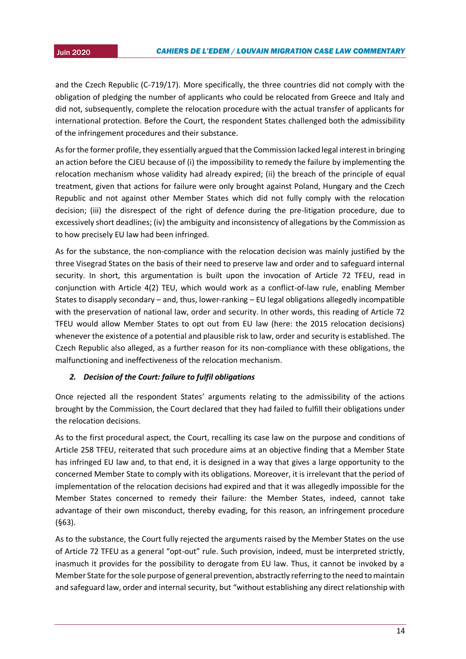and the Czech Republic (C-719/17). More specifically, the three countries did not comply with the obligation of pledging the number of applicants who could be relocated from Greece and Italy and did not, subsequently, complete the relocation procedure with the actual transfer of applicants for international protection. Before the Court, the respondent States challenged both the admissibility of the infringement procedures and their substance.

As for the former profile, they essentially argued that the Commission lacked legal interest in bringing an action before the CJEU because of (i) the impossibility to remedy the failure by implementing the relocation mechanism whose validity had already expired; (ii) the breach of the principle of equal treatment, given that actions for failure were only brought against Poland, Hungary and the Czech Republic and not against other Member States which did not fully comply with the relocation decision; (iii) the disrespect of the right of defence during the pre-litigation procedure, due to excessively short deadlines; (iv) the ambiguity and inconsistency of allegations by the Commission as to how precisely EU law had been infringed.

As for the substance, the non-compliance with the relocation decision was mainly justified by the three Visegrad States on the basis of their need to preserve law and order and to safeguard internal security. In short, this argumentation is built upon the invocation of Article 72 TFEU, read in conjunction with Article 4(2) TEU, which would work as a conflict-of-law rule, enabling Member States to disapply secondary – and, thus, lower-ranking – EU legal obligations allegedly incompatible with the preservation of national law, order and security. In other words, this reading of Article 72 TFEU would allow Member States to opt out from EU law (here: the 2015 relocation decisions) whenever the existence of a potential and plausible risk to law, order and security is established. The Czech Republic also alleged, as a further reason for its non-compliance with these obligations, the malfunctioning and ineffectiveness of the relocation mechanism.

## *2. Decision of the Court: failure to fulfil obligations*

Once rejected all the respondent States' arguments relating to the admissibility of the actions brought by the Commission, the Court declared that they had failed to fulfill their obligations under the relocation decisions.

As to the first procedural aspect, the Court, recalling its case law on the purpose and conditions of Article 258 TFEU, reiterated that such procedure aims at an objective finding that a Member State has infringed EU law and, to that end, it is designed in a way that gives a large opportunity to the concerned Member State to comply with its obligations. Moreover, it is irrelevant that the period of implementation of the relocation decisions had expired and that it was allegedly impossible for the Member States concerned to remedy their failure: the Member States, indeed, cannot take advantage of their own misconduct, thereby evading, for this reason, an infringement procedure (§63).

As to the substance, the Court fully rejected the arguments raised by the Member States on the use of Article 72 TFEU as a general "opt-out" rule. Such provision, indeed, must be interpreted strictly, inasmuch it provides for the possibility to derogate from EU law. Thus, it cannot be invoked by a Member State for the sole purpose of general prevention, abstractly referring to the need to maintain and safeguard law, order and internal security, but "without establishing any direct relationship with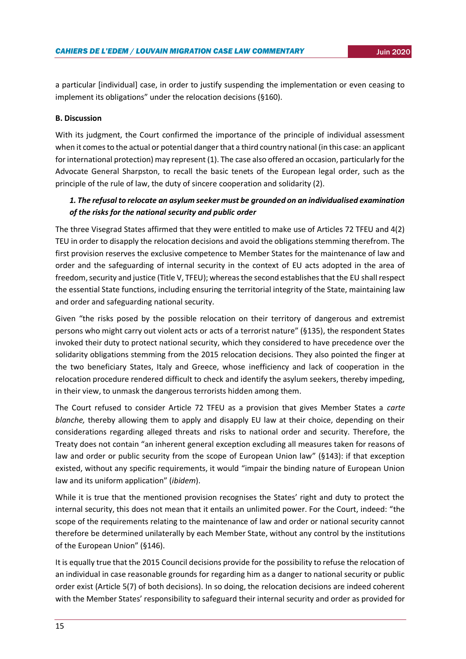a particular [individual] case, in order to justify suspending the implementation or even ceasing to implement its obligations" under the relocation decisions (§160).

## **B. Discussion**

With its judgment, the Court confirmed the importance of the principle of individual assessment when it comes to the actual or potential danger that a third country national (in this case: an applicant for international protection) may represent (1). The case also offered an occasion, particularly for the Advocate General Sharpston, to recall the basic tenets of the European legal order, such as the principle of the rule of law, the duty of sincere cooperation and solidarity (2).

## *1. The refusal to relocate an asylum seeker must be grounded on an individualised examination of the risks for the national security and public order*

The three Visegrad States affirmed that they were entitled to make use of Articles 72 TFEU and 4(2) TEU in order to disapply the relocation decisions and avoid the obligations stemming therefrom. The first provision reserves the exclusive competence to Member States for the maintenance of law and order and the safeguarding of internal security in the context of EU acts adopted in the area of freedom, security and justice (Title V, TFEU); whereas the second establishes that the EU shall respect the essential State functions, including ensuring the territorial integrity of the State, maintaining law and order and safeguarding national security.

Given "the risks posed by the possible relocation on their territory of dangerous and extremist persons who might carry out violent acts or acts of a terrorist nature" (§135), the respondent States invoked their duty to protect national security, which they considered to have precedence over the solidarity obligations stemming from the 2015 relocation decisions. They also pointed the finger at the two beneficiary States, Italy and Greece, whose inefficiency and lack of cooperation in the relocation procedure rendered difficult to check and identify the asylum seekers, thereby impeding, in their view, to unmask the dangerous terrorists hidden among them.

The Court refused to consider Article 72 TFEU as a provision that gives Member States a *carte blanche,* thereby allowing them to apply and disapply EU law at their choice, depending on their considerations regarding alleged threats and risks to national order and security. Therefore, the Treaty does not contain "an inherent general exception excluding all measures taken for reasons of law and order or public security from the scope of European Union law" (§143): if that exception existed, without any specific requirements, it would "impair the binding nature of European Union law and its uniform application" (*ibidem*).

While it is true that the mentioned provision recognises the States' right and duty to protect the internal security, this does not mean that it entails an unlimited power. For the Court, indeed: "the scope of the requirements relating to the maintenance of law and order or national security cannot therefore be determined unilaterally by each Member State, without any control by the institutions of the European Union" (§146).

It is equally true that the 2015 Council decisions provide for the possibility to refuse the relocation of an individual in case reasonable grounds for regarding him as a danger to national security or public order exist (Article 5(7) of both decisions). In so doing, the relocation decisions are indeed coherent with the Member States' responsibility to safeguard their internal security and order as provided for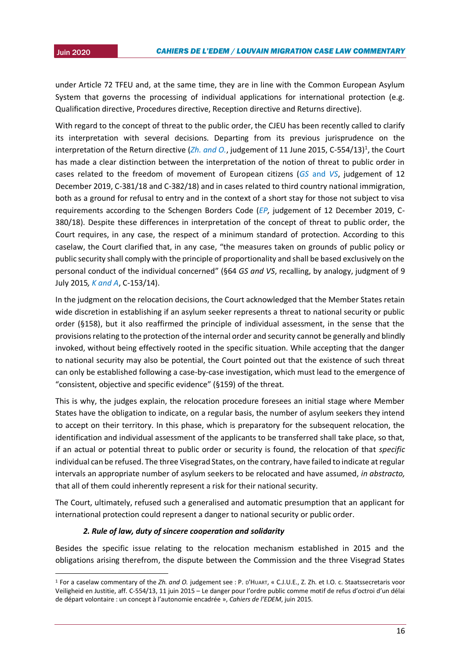**.** 

under Article 72 TFEU and, at the same time, they are in line with the Common European Asylum System that governs the processing of individual applications for international protection (e.g. Qualification directive, Procedures directive, Reception directive and Returns directive).

With regard to the concept of threat to the public order, the CJEU has been recently called to clarify its interpretation with several decisions. Departing from its previous jurisprudence on the interpretation of the Return directive ([Zh. and O.](http://curia.europa.eu/juris/celex.jsf?celex=62013CJ0554&lang1=it&type=TXT&ancre=), judgement of 11 June 2015, C-554/13)<sup>1</sup>, the Court has made a clear distinction between the interpretation of the notion of threat to public order in cases related to the freedom of movement of European citizens (*GS* [and](http://curia.europa.eu/juris/celex.jsf?celex=62018CJ0381&lang1=en&type=TXT&ancre=) *VS*, judgement of 12 December 2019, C-381/18 and C-382/18) and in cases related to third country national immigration, both as a ground for refusal to entry and in the context of a short stay for those not subject to visa requirements according to the Schengen Borders Code (*[EP,](http://curia.europa.eu/juris/celex.jsf?celex=62018CJ0380&lang1=fr&type=TXT&ancre=)* judgement of 12 December 2019, C-380/18). Despite these differences in interpretation of the concept of threat to public order, the Court requires, in any case, the respect of a minimum standard of protection. According to this caselaw, the Court clarified that, in any case, "the measures taken on grounds of public policy or public security shall comply with the principle of proportionality and shall be based exclusively on the personal conduct of the individual concerned" (§64 *GS and VS*, recalling, by analogy, judgment of 9 July 2015*[, K and A](http://curia.europa.eu/juris/celex.jsf?celex=62014CJ0153&lang1=it&type=TXT&ancre=)*, C-153/14).

In the judgment on the relocation decisions, the Court acknowledged that the Member States retain wide discretion in establishing if an asylum seeker represents a threat to national security or public order (§158), but it also reaffirmed the principle of individual assessment, in the sense that the provisions relating to the protection of the internal order and security cannot be generally and blindly invoked, without being effectively rooted in the specific situation. While accepting that the danger to national security may also be potential, the Court pointed out that the existence of such threat can only be established following a case-by-case investigation, which must lead to the emergence of "consistent, objective and specific evidence" (§159) of the threat.

This is why, the judges explain, the relocation procedure foresees an initial stage where Member States have the obligation to indicate, on a regular basis, the number of asylum seekers they intend to accept on their territory. In this phase, which is preparatory for the subsequent relocation, the identification and individual assessment of the applicants to be transferred shall take place, so that, if an actual or potential threat to public order or security is found, the relocation of that *specific* individual can be refused. The three Visegrad States, on the contrary, have failed to indicate at regular intervals an appropriate number of asylum seekers to be relocated and have assumed, *in abstracto,*  that all of them could inherently represent a risk for their national security.

The Court, ultimately, refused such a generalised and automatic presumption that an applicant for international protection could represent a danger to national security or public order.

## *2. Rule of law, duty of sincere cooperation and solidarity*

Besides the specific issue relating to the relocation mechanism established in 2015 and the obligations arising therefrom, the dispute between the Commission and the three Visegrad States

<sup>1</sup> For a caselaw commentary of the *Zh. and O.* judgement see : P. D'HUART, « C.J.U.E., Z. Zh. et I.O. c. Staatssecretaris voor Veiligheid en Justitie, aff. C-554/13, 11 juin 2015 – Le danger pour l'ordre public comme motif de refus d'octroi d'un délai de départ volontaire : un concept à l'autonomie encadrée », *Cahiers de l'EDEM*, juin 2015.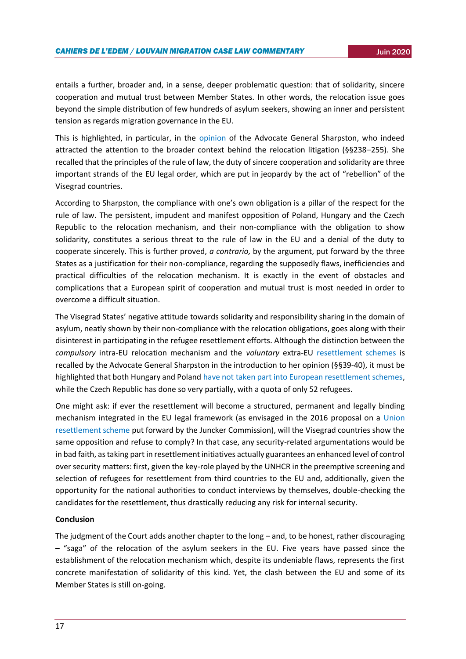entails a further, broader and, in a sense, deeper problematic question: that of solidarity, sincere cooperation and mutual trust between Member States. In other words, the relocation issue goes beyond the simple distribution of few hundreds of asylum seekers, showing an inner and persistent tension as regards migration governance in the EU.

This is highlighted, in particular, in the [opinion](http://curia.europa.eu/juris/celex.jsf?celex=62017CC0715&lang1=it&type=TXT&ancre=) of the Advocate General Sharpston, who indeed attracted the attention to the broader context behind the relocation litigation (§§238–255). She recalled that the principles of the rule of law, the duty of sincere cooperation and solidarity are three important strands of the EU legal order, which are put in jeopardy by the act of "rebellion" of the Visegrad countries.

According to Sharpston, the compliance with one's own obligation is a pillar of the respect for the rule of law. The persistent, impudent and manifest opposition of Poland, Hungary and the Czech Republic to the relocation mechanism, and their non-compliance with the obligation to show solidarity, constitutes a serious threat to the rule of law in the EU and a denial of the duty to cooperate sincerely. This is further proved, *a contrario,* by the argument, put forward by the three States as a justification for their non-compliance, regarding the supposedly flaws, inefficiencies and practical difficulties of the relocation mechanism. It is exactly in the event of obstacles and complications that a European spirit of cooperation and mutual trust is most needed in order to overcome a difficult situation.

The Visegrad States' negative attitude towards solidarity and responsibility sharing in the domain of asylum, neatly shown by their non-compliance with the relocation obligations, goes along with their disinterest in participating in the refugee resettlement efforts. Although the distinction between the *compulsory* intra-EU relocation mechanism and the *voluntary* extra-EU [resettlement schemes](https://ec.europa.eu/home-affairs/sites/homeaffairs/files/what-we-do/policies/european-agenda-migration/201912_delivering-on-resettlement.pdf) is recalled by the Advocate General Sharpston in the introduction to her opinion (§§39-40), it must be highlighted that both Hungary and Poland [have not taken part into European resettlement schemes,](https://ec.europa.eu/home-affairs/sites/homeaffairs/files/what-we-do/policies/european-agenda-migration/20170904_factsheet_relocation_and_resettlement_en.pdf) while the Czech Republic has done so very partially, with a quota of only 52 refugees.

One might ask: if ever the resettlement will become a structured, permanent and legally binding mechanism integrated in the EU legal framework (as envisaged in the 2016 proposal on a [Union](https://eur-lex.europa.eu/legal-content/EN/TXT/PDF/?uri=CELEX:52016PC0468&from=EN)  [resettlement scheme](https://eur-lex.europa.eu/legal-content/EN/TXT/PDF/?uri=CELEX:52016PC0468&from=EN) put forward by the Juncker Commission), will the Visegrad countries show the same opposition and refuse to comply? In that case, any security-related argumentations would be in bad faith, as taking part in resettlement initiatives actually guarantees an enhanced level of control over security matters: first, given the key-role played by the UNHCR in the preemptive screening and selection of refugees for resettlement from third countries to the EU and, additionally, given the opportunity for the national authorities to conduct interviews by themselves, double-checking the candidates for the resettlement, thus drastically reducing any risk for internal security.

#### **Conclusion**

The judgment of the Court adds another chapter to the long – and, to be honest, rather discouraging – "saga" of the relocation of the asylum seekers in the EU. Five years have passed since the establishment of the relocation mechanism which, despite its undeniable flaws, represents the first concrete manifestation of solidarity of this kind. Yet, the clash between the EU and some of its Member States is still on-going.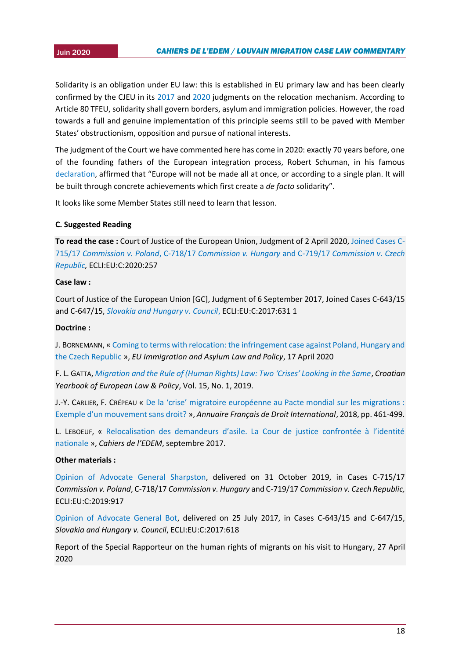Solidarity is an obligation under EU law: this is established in EU primary law and has been clearly confirmed by the CJEU in its [2017](http://curia.europa.eu/juris/liste.jsf?language=en&jur=C,T,F&num=c-643/15) and [2020](http://curia.europa.eu/juris/celex.jsf?celex=62017CJ0715&lang1=it&type=TXT&ancre=) judgments on the relocation mechanism. According to Article 80 TFEU, solidarity shall govern borders, asylum and immigration policies. However, the road towards a full and genuine implementation of this principle seems still to be paved with Member States' obstructionism, opposition and pursue of national interests.

The judgment of the Court we have commented here has come in 2020: exactly 70 years before, one of the founding fathers of the European integration process, Robert Schuman, in his famous [declaration](https://europa.eu/european-union/about-eu/symbols/europe-day/schuman-declaration_en), affirmed that "Europe will not be made all at once, or according to a single plan. It will be built through concrete achievements which first create a *de facto* solidarity".

It looks like some Member States still need to learn that lesson.

## **C. Suggested Reading**

**To read the case :** Court of Justice of the European Union, Judgment of 2 April 2020, [Joined Cases C-](http://curia.europa.eu/juris/celex.jsf?celex=62017CJ0715&lang1=it&type=TXT&ancre=)715/17 *Commission v. Poland*, C-718/17 *[Commission v. Hungary](http://curia.europa.eu/juris/celex.jsf?celex=62017CJ0715&lang1=it&type=TXT&ancre=)* and C-719/17 *Commission v. Czech [Republic,](http://curia.europa.eu/juris/celex.jsf?celex=62017CJ0715&lang1=it&type=TXT&ancre=)* ECLI:EU:C:2020:257

## **Case law :**

Court of Justice of the European Union [GC], Judgment of 6 September 2017, Joined Cases C-643/15 and C-647/15, *[Slovakia and Hungary v. Council](http://curia.europa.eu/juris/liste.jsf?language=en&jur=C,T,F&num=c-643/15)*, ECLI:EU:C:2017:631 1

## **Doctrine :**

J. BORNEMANN, « [Coming to terms with relocation: the infringement case against Poland, Hungary and](https://eumigrationlawblog.eu/coming-to-terms-with-relocation-the-infringement-case-against-poland-hungary-and-the-czech-republic/)  [the Czech Republic](https://eumigrationlawblog.eu/coming-to-terms-with-relocation-the-infringement-case-against-poland-hungary-and-the-czech-republic/) », *EU Immigration and Asylum Law and Policy*, 17 April 2020

F. L. GATTA, *[Migration and the Rule of \(Human Rights\) Law: Two 'Crises' Looking in the Same](https://hrcak.srce.hr/229897?lang=en)*, *Croatian Yearbook of European Law & Policy*, Vol. 15, No. 1, 2019.

J.-Y. CARLIER, F. CRÉPEAU « [De la 'crise' migratoire européenne au Pacte mondial sur les migrations :](https://dial.uclouvain.be/pr/boreal/object/boreal:210014)  [Exemple d'un mouvement sans droit?](https://dial.uclouvain.be/pr/boreal/object/boreal:210014) », *Annuaire Français de Droit International*, 2018, pp. 461-499.

L. LEBOEUF, « [Relocalisation des demandeurs d'asile. La Cour de justice confrontée à l'identité](https://uclouvain.be/fr/instituts-recherche/juri/cedie/actualites/c-j-u-e-6-septembre-2017-republique-slovaque-et-hongrie-c-conseil-aff-jointes-c-643-15-et-c-647-15.html)  [nationale](https://uclouvain.be/fr/instituts-recherche/juri/cedie/actualites/c-j-u-e-6-septembre-2017-republique-slovaque-et-hongrie-c-conseil-aff-jointes-c-643-15-et-c-647-15.html) », *Cahiers de l'EDEM*, septembre 2017.

## **Other materials :**

[Opinion of Advocate General Sharpston,](http://curia.europa.eu/juris/celex.jsf?celex=62017CC0715&lang1=it&type=TXT&ancre=) delivered on 31 October 2019, in Cases C-715/17 *Commission v. Poland*, C-718/17 *Commission v. Hungary* and C-719/17 *Commission v. Czech Republic,*  ECLI:EU:C:2019:917

[Opinion of Advocate General Bot,](http://curia.europa.eu/juris/celex.jsf?celex=62015CC0643&lang1=en&type=TXT&ancre=) delivered on 25 July 2017, in Cases C-643/15 and C-647/15, *Slovakia and Hungary v. Council*, ECLI:EU:C:2017:618

Report of the Special Rapporteur on the human rights of migrants on his visit to Hungary, 27 April 2020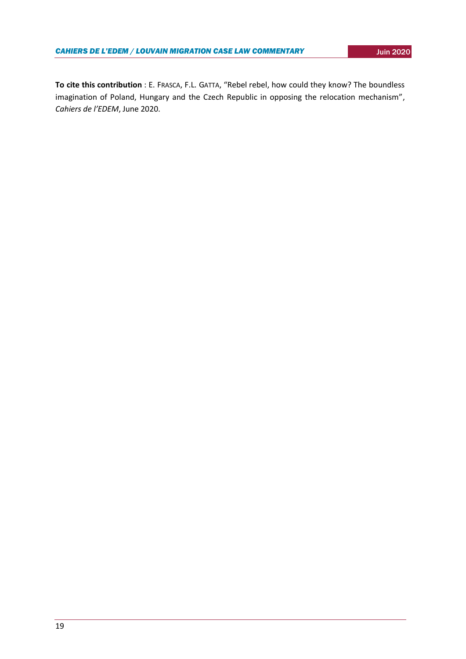**To cite this contribution** : E. FRASCA, F.L. GATTA, "Rebel rebel, how could they know? The boundless imagination of Poland, Hungary and the Czech Republic in opposing the relocation mechanism", *Cahiers de l'EDEM*, June 2020.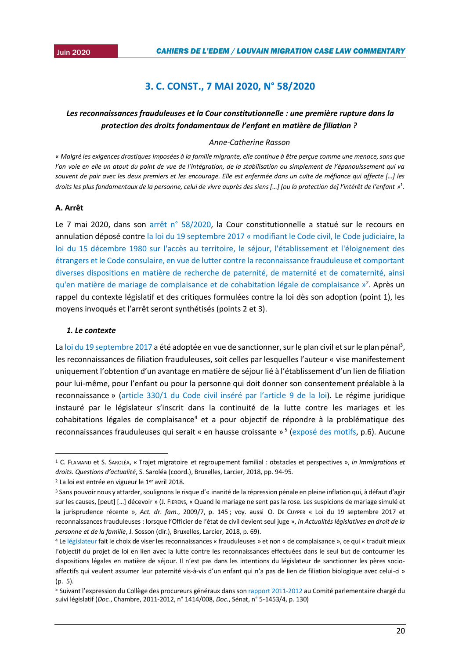## <sup>2015</sup> **3. C. CONST., 7 MAI 2020, N° 58/2020**

## <span id="page-19-0"></span>*Les reconnaissances frauduleuses et la Cour constitutionnelle : une première rupture dans la protection des droits fondamentaux de l'enfant en matière de filiation ?*

#### *Anne-Catherine Rasson*

« *Malgré les exigences drastiques imposées à la famille migrante, elle continue à être perçue comme une menace, sans que l'on voie en elle un atout du point de vue de l'intégration, de la stabilisation ou simplement de l'épanouissement qui va souvent de pair avec les deux premiers et les encourage. Elle est enfermée dans un culte de méfiance qui affecte […] les*  droits les plus fondamentaux de la personne, celui de vivre auprès des siens […] [ou la protection de] l'intérêt de l'enfant »<sup>1</sup>.

#### **A. Arrêt**

Le 7 mai 2020, dans son [arrêt n° 58/2020,](https://www.const-court.be/public/f/2020/2020-058f.pdf) la Cour constitutionnelle a statué sur le recours en annulation déposé contre la loi du 19 septembre 2017 « [modifiant le Code civil, le Code judiciaire, la](http://www.ejustice.just.fgov.be/eli/loi/2017/09/19/2017013422/justel)  [loi du 15 décembre 1980 sur l'accès au territoire, le séjour, l'établissement et l'éloignement des](http://www.ejustice.just.fgov.be/eli/loi/2017/09/19/2017013422/justel)  [étrangers et le Code consulaire, en vue de lutter contre la reconnaissance frauduleuse et comportant](http://www.ejustice.just.fgov.be/eli/loi/2017/09/19/2017013422/justel)  [diverses dispositions en matière de recherche de paternité, de maternité et de comaternité, ainsi](http://www.ejustice.just.fgov.be/eli/loi/2017/09/19/2017013422/justel)  [qu'en matière de mariage de complaisance et de cohabitation légale de complaisance](http://www.ejustice.just.fgov.be/eli/loi/2017/09/19/2017013422/justel) »<sup>2</sup>. Après un rappel du contexte législatif et des critiques formulées contre la loi dès son adoption (point 1), les moyens invoqués et l'arrêt seront synthétisés (points 2 et 3).

#### *1. Le contexte*

-

L[a loi du 19 septembre 2017](http://www.ejustice.just.fgov.be/eli/loi/2017/09/19/2017013422/justel) a été adoptée en vue de sanctionner, sur le plan civil et sur le plan pénal<sup>3</sup>, les reconnaissances de filiation frauduleuses, soit celles par lesquelles l'auteur « vise manifestement uniquement l'obtention d'un avantage en matière de séjour lié à l'établissement d'un lien de filiation pour lui-même, pour l'enfant ou pour la personne qui doit donner son consentement préalable à la reconnaissance » ([article 330/1 du Code civil inséré par l'article](http://www.ejustice.just.fgov.be/eli/loi/1804/03/21/1804032150/justel) 9 de la loi). Le régime juridique instauré par le législateur s'inscrit dans la continuité de la lutte contre les mariages et les cohabitations légales de complaisance<sup>4</sup> et a pour objectif de répondre à la problématique des reconnaissances frauduleuses qui serait « en hausse croissante »<sup>5</sup> [\(exposé des motifs,](https://www.lachambre.be/FLWB/PDF/54/2529/54K2529001.pdf) p.6). Aucune

<sup>1</sup> C. FLAMAND et S. SAROLÉA, « Trajet migratoire et regroupement familial : obstacles et perspectives », *in Immigrations et droits. Questions d'actualité*, S. Saroléa (coord.), Bruxelles, Larcier, 2018, pp. 94-95.

<sup>&</sup>lt;sup>2</sup> La loi est entrée en vigueur le 1<sup>er</sup> avril 2018.

<sup>3</sup> Sans pouvoir nous y attarder, soulignons le risque d'« inanité de la répression pénale en pleine inflation qui, à défaut d'agir sur les causes, [peut] [...] décevoir » (J. FIERENS, « Quand le mariage ne sent pas la rose. Les suspicions de mariage simulé et la jurisprudence récente », *Act. dr. fam*., 2009/7, p. 145 ; voy. aussi O. DE CUYPER « Loi du 19 septembre 2017 et reconnaissances frauduleuses : lorsque l'Officier de l'état de civil devient seul juge », *in Actualités législatives en droit de la personne et de la famille*, J. Sosson (dir.), Bruxelles, Larcier, 2018, p. 69).

<sup>4</sup> L[e législateur](https://www.lachambre.be/FLWB/PDF/54/2529/54K2529001.pdf) fait le choix de viser les reconnaissances « frauduleuses » et non « de complaisance », ce qui « traduit mieux l'objectif du projet de loi en lien avec la lutte contre les reconnaissances effectuées dans le seul but de contourner les dispositions légales en matière de séjour. Il n'est pas dans les intentions du législateur de sanctionner les pères socioaffectifs qui veulent assumer leur paternité vis-à-vis d'un enfant qui n'a pas de lien de filiation biologique avec celui-ci » (p. 5).

<sup>5</sup> Suivant l'expression du Collège des procureurs généraux dans son [rapport 2011-2012](https://www.lachambre.be/FLWB/PDF/53/1414/53K1414008.pdf) au Comité parlementaire chargé du suivi législatif (*Doc.*, Chambre, 2011-2012, n° 1414/008, *Doc.*, Sénat, n° 5-1453/4, p. 130)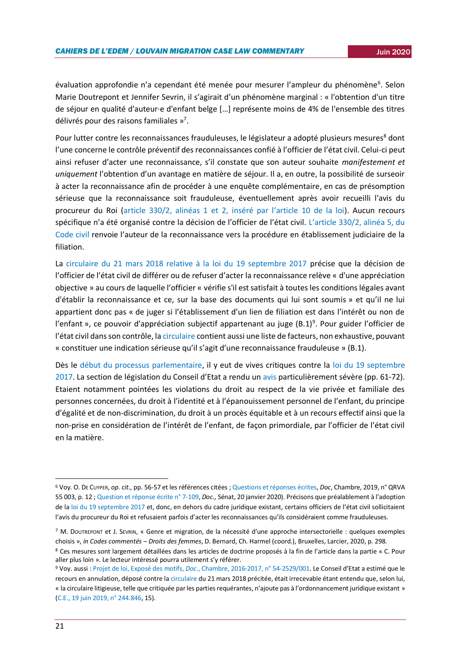évaluation approfondie n'a cependant été menée pour mesurer l'ampleur du phénomène<sup>6</sup>. Selon Marie Doutrepont et Jennifer Sevrin, il s'agirait d'un phénomène marginal : « l'obtention d'un titre de séjour en qualité d'auteur·e d'enfant belge […] représente moins de 4% de l'ensemble des titres délivrés pour des raisons familiales »<sup>7</sup>.

Pour lutter contre les reconnaissances frauduleuses, le législateur a adopté plusieurs mesures<sup>8</sup> dont l'une concerne le contrôle préventif des reconnaissances confié à l'officier de l'état civil. Celui-ci peut ainsi refuser d'acter une reconnaissance, s'il constate que son auteur souhaite *manifestement et uniquement* l'obtention d'un avantage en matière de séjour. Il a, en outre, la possibilité de surseoir à acter la reconnaissance afin de procéder à une enquête complémentaire, en cas de présomption sérieuse que la reconnaissance soit frauduleuse, éventuellement après avoir recueilli l'avis du procureur du Roi [\(article 330/2, alinéas 1 et 2, inséré par l](http://www.ejustice.just.fgov.be/eli/loi/1804/03/21/1804032150/justel)'article 10 de la loi). Aucun recours spécifique n'a été organisé contre la décision de l'officier de l'état civil. [L'article 330/2, alinéa 5, du](http://www.ejustice.just.fgov.be/eli/loi/1804/03/21/1804032150/justel)  [Code civil](http://www.ejustice.just.fgov.be/eli/loi/1804/03/21/1804032150/justel) renvoie l'auteur de la reconnaissance vers la procédure en établissement judiciaire de la filiation.

La [circulaire du 21 mars 2018 relative à la loi du 19 septembre 2017](http://www.ejustice.just.fgov.be/mopdf/2018/03/26_1.pdf#Page163) précise que la décision de l'officier de l'état civil de différer ou de refuser d'acter la reconnaissance relève « d'une appréciation objective » au cours de laquelle l'officier « vérifie s'il est satisfait à toutes les conditions légales avant d'établir la reconnaissance et ce, sur la base des documents qui lui sont soumis » et qu'il ne lui appartient donc pas « de juger si l'établissement d'un lien de filiation est dans l'intérêt ou non de l'enfant », ce pouvoir d'appréciation subjectif appartenant au juge (B.1)<sup>9</sup>. Pour guider l'officier de l'état civil dans son contrôle, la [circulaire](http://www.ejustice.just.fgov.be/mopdf/2018/03/26_1.pdf#Page163) contient aussi une liste de facteurs, non exhaustive, pouvant « constituer une indication sérieuse qu'il s'agit d'une reconnaissance frauduleuse » (B.1).

Dès le [début du processus parlementaire,](https://www.lachambre.be/FLWB/PDF/54/2529/54K2529001.pdf) il y eut de vives critiques contre la loi du 19 septembre [2017](http://www.ejustice.just.fgov.be/eli/loi/2017/09/19/2017013422/justel). La section de législation du Conseil d'Etat a rendu un [avis](https://www.lachambre.be/FLWB/PDF/54/2529/54K2529001.pdf) particulièrement sévère (pp. 61-72). Etaient notamment pointées les violations du droit au respect de la vie privée et familiale des personnes concernées, du droit à l'identité et à l'épanouissement personnel de l'enfant, du principe d'égalité et de non-discrimination, du droit à un procès équitable et à un recours effectif ainsi que la non-prise en considération de l'intérêt de l'enfant, de façon primordiale, par l'officier de l'état civil en la matière.

-

<sup>6</sup> Voy. O. DE CUYPER, *op. cit.,* pp. 56-57 et les références citées [; Questions et réponses écrites,](https://www.dekamer.be/QRVA/pdf/55/55K0003.pdf) *Doc*, Chambre, 2019, n° QRVA 55 003, p. 12 [; Question et réponse écrite n° 7-109,](https://www.senate.be/www/?MIval=/index_senate&MENUID=23132&LANG=fr) *Doc.,* Sénat, 20 janvier 2020). Précisons que préalablement à l'adoption de la [loi du 19 septembre 2017](http://www.ejustice.just.fgov.be/eli/loi/2017/09/19/2017013422/justel) et, donc, en dehors du cadre juridique existant, certains officiers de l'état civil sollicitaient l'avis du procureur du Roi et refusaient parfois d'acter les reconnaissances qu'ils considéraient comme frauduleuses.

<sup>7</sup> M. DOUTREPONT et J. SEVRIN, « Genre et migration, de la nécessité d'une approche intersectorielle : quelques exemples choisis », *in Codes commentés – Droits des femmes*, D. Bernard, Ch. Harmel (coord.), Bruxelles, Larcier, 2020, p. 298. 8 Ces mesures sont largement détaillées dans les articles de doctrine proposés à la fin de l'article dans la partie « C. Pour aller plus loin ». Le lecteur intéressé pourra utilement s'y référer.

<sup>9</sup> Voy. aussi : Projet de loi, Exposé des motifs, *Doc.*[, Chambre, 2016-2017, n° 54-2529/001](https://www.lachambre.be/FLWB/PDF/54/2529/54K2529001.pdf). Le Conseil d'Etat a estimé que le recours en annulation, déposé contre l[a circulaire](http://www.ejustice.just.fgov.be/mopdf/2018/03/26_1.pdf#Page163) du 21 mars 2018 précitée, était irrecevable étant entendu que, selon lui, « la circulaire litigieuse, telle que critiquée par les parties requérantes, n'ajoute pas à l'ordonnancement juridique existant » [\(C.E., 19 juin 2019, n° 244.846,](http://www.raadvanstate.be/Arrets/244000/800/244846.pdf#xml=http://www.raadvanstate.be/apps/dtsearch/getpdf.asp?DocId=35920&Index=c%3a%5csoftware%5cdtsearch%5cindex%5carrets%5ffr%5c&HitCount=1&hits=1897+&06333820202816) 15).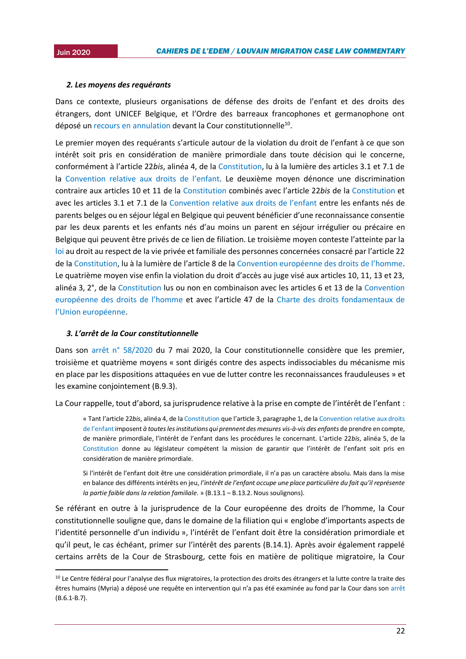1

#### 2015*2. Les moyens des requérants*

Dans ce contexte, plusieurs organisations de défense des droits de l'enfant et des droits des étrangers, dont UNICEF Belgique, et l'Ordre des barreaux francophones et germanophone ont déposé un [recours en annulation](http://www.mineursenexil.be/files/files/PB-CP/Re-%20%20cours-CC.-definitif.pdf) devant la Cour constitutionnelle<sup>10</sup>.

Le premier moyen des requérants s'articule autour de la violation du droit de l'enfant à ce que son intérêt soit pris en considération de manière primordiale dans toute décision qui le concerne, conformément à l'article 22*bis*, alinéa 4, de la [Constitution,](http://www.ejustice.just.fgov.be/eli/constitution/1994/02/17/1994021048/justel) lu à la lumière des articles 3.1 et 7.1 de la [Convention relative aux droits de l'enfant](https://www.ohchr.org/fr/professionalinterest/pages/crc.aspx). Le deuxième moyen dénonce une discrimination contraire aux articles 10 et 11 de la [Constitution](http://www.ejustice.just.fgov.be/eli/constitution/1994/02/17/1994021048/justel) combinés avec l'article 22*bis* de la [Constitution](http://www.ejustice.just.fgov.be/eli/constitution/1994/02/17/1994021048/justel) et avec les articles 3.1 et 7.1 de la [Convention relative aux droits de l'enfant](https://www.ohchr.org/fr/professionalinterest/pages/crc.aspx) entre les enfants nés de parents belges ou en séjour légal en Belgique qui peuvent bénéficier d'une reconnaissance consentie par les deux parents et les enfants nés d'au moins un parent en séjour irrégulier ou précaire en Belgique qui peuvent être privés de ce lien de filiation. Le troisième moyen conteste l'atteinte par la [loi](http://www.ejustice.just.fgov.be/eli/loi/2017/09/19/2017013422/justel) au droit au respect de la vie privée et familiale des personnes concernées consacré par l'article 22 de la [Constitution](http://www.ejustice.just.fgov.be/eli/constitution/1994/02/17/1994021048/justel), lu à la lumière de l'article 8 de la [Convention européenne des droits de l'homme](https://www.echr.coe.int/Documents/Convention_FRA.pdf). Le quatrième moyen vise enfin la violation du droit d'accès au juge visé aux articles 10, 11, 13 et 23, alinéa 3, 2°, de la [Constitution](http://www.ejustice.just.fgov.be/eli/constitution/1994/02/17/1994021048/justel) lus ou non en combinaison avec les articles 6 et 13 de la [Convention](https://www.echr.coe.int/Documents/Convention_FRA.pdf)  [européenne des droits de l'homme](https://www.echr.coe.int/Documents/Convention_FRA.pdf) et avec l'article 47 de la [Charte des droits fondamentaux de](https://www.europarl.europa.eu/charter/pdf/text_fr.pdf)  [l'Union européenne](https://www.europarl.europa.eu/charter/pdf/text_fr.pdf).

#### *3. L'arrêt de la Cour constitutionnelle*

Dans son [arrêt n° 58/2020](https://www.const-court.be/public/f/2020/2020-058f.pdf) du 7 mai 2020, la Cour constitutionnelle considère que les premier, troisième et quatrième moyens « sont dirigés contre des aspects indissociables du mécanisme mis en place par les dispositions attaquées en vue de lutter contre les reconnaissances frauduleuses » et les examine conjointement (B.9.3).

La Cour rappelle, tout d'abord, sa jurisprudence relative à la prise en compte de l'intérêt de l'enfant :

« Tant l'article 22*bis*, alinéa 4, de l[a Constitution](http://www.ejustice.just.fgov.be/eli/constitution/1994/02/17/1994021048/justel) que l'article 3, paragraphe 1, de la [Convention relative aux droits](https://www.ohchr.org/fr/professionalinterest/pages/crc.aspx)  [de l'enfant](https://www.ohchr.org/fr/professionalinterest/pages/crc.aspx) imposent *à toutes les institutions qui prennent des mesures vis-à-vis des enfants* de prendre en compte, de manière primordiale, l'intérêt de l'enfant dans les procédures le concernant. L'article 22*bis*, alinéa 5, de la [Constitution](http://www.ejustice.just.fgov.be/eli/constitution/1994/02/17/1994021048/justel) donne au législateur compétent la mission de garantir que l'intérêt de l'enfant soit pris en considération de manière primordiale.

Si l'intérêt de l'enfant doit être une considération primordiale, il n'a pas un caractère absolu. Mais dans la mise en balance des différents intérêts en jeu, *l'intérêt de l'enfant occupe une place particulière du fait qu'il représente la partie faible dans la relation familiale*. » (B.13.1 – B.13.2. Nous soulignons).

Se référant en outre à la jurisprudence de la Cour européenne des droits de l'homme, la Cour constitutionnelle souligne que, dans le domaine de la filiation qui « englobe d'importants aspects de l'identité personnelle d'un individu », l'intérêt de l'enfant doit être la considération primordiale et qu'il peut, le cas échéant, primer sur l'intérêt des parents (B.14.1). Après avoir également rappelé certains arrêts de la Cour de Strasbourg, cette fois en matière de politique migratoire, la Cour

<sup>&</sup>lt;sup>10</sup> Le Centre fédéral pour l'analyse des flux migratoires, la protection des droits des étrangers et la lutte contre la traite des êtres humains (Myria) a déposé une requête en intervention qui n'a pas été examinée au fond par la Cour dans son [arrêt](https://www.const-court.be/public/f/2020/2020-058f.pdf) (B.6.1-B.7).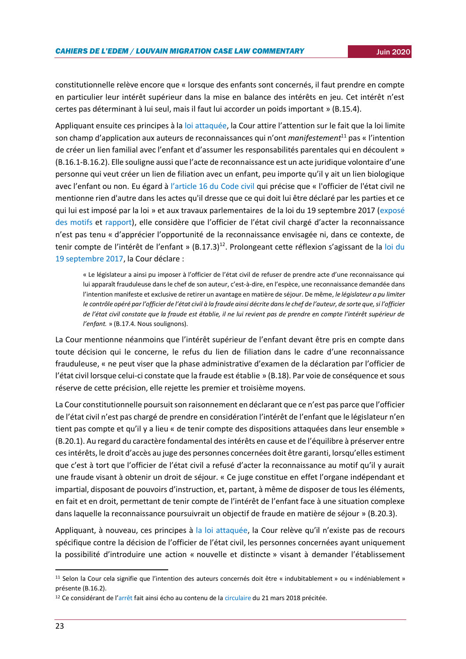constitutionnelle relève encore que « lorsque des enfants sont concernés, il faut prendre en compte en particulier leur intérêt supérieur dans la mise en balance des intérêts en jeu. Cet intérêt n'est certes pas déterminant à lui seul, mais il faut lui accorder un poids important » (B.15.4).

Appliquant ensuite ces principes à la [loi attaquée](http://www.ejustice.just.fgov.be/eli/loi/2017/09/19/2017013422/justel), la Cour attire l'attention sur le fait que la loi limite son champ d'application aux auteurs de reconnaissances qui n'ont *manifestement*<sup>11</sup> pas « l'intention de créer un lien familial avec l'enfant et d'assumer les responsabilités parentales qui en découlent » (B.16.1-B.16.2). Elle souligne aussi que l'acte de reconnaissance est un acte juridique volontaire d'une personne qui veut créer un lien de filiation avec un enfant, peu importe qu'il y ait un lien biologique avec l'enfant ou non. Eu égard à [l'article 16 du Code civil](http://www.ejustice.just.fgov.be/eli/loi/1804/03/21/1804032150/justel) qui précise que « l'officier de l'état civil ne mentionne rien d'autre dans les actes qu'il dresse que ce qui doit lui être déclaré par les parties et ce qui lui est imposé par la loi » et aux travaux parlementaires de la loi du 19 septembre 2017 [\(exposé](https://www.lachambre.be/FLWB/PDF/54/2529/54K2529001.pdf)  [des motifs](https://www.lachambre.be/FLWB/PDF/54/2529/54K2529001.pdf) et [rapport](https://www.lachambre.be/FLWB/PDF/54/2529/54K2529003.pdf)), elle considère que l'officier de l'état civil chargé d'acter la reconnaissance n'est pas tenu « d'apprécier l'opportunité de la reconnaissance envisagée ni, dans ce contexte, de tenir compte de l'intérêt de l'enfant » (B.17.3)<sup>12</sup>. Prolongeant cette réflexion s'agissant de la loi du [19 septembre 2017,](http://www.ejustice.just.fgov.be/eli/loi/2017/09/19/2017013422/justel) la Cour déclare :

« Le législateur a ainsi pu imposer à l'officier de l'état civil de refuser de prendre acte d'une reconnaissance qui lui apparaît frauduleuse dans le chef de son auteur, c'est-à-dire, en l'espèce, une reconnaissance demandée dans l'intention manifeste et exclusive de retirer un avantage en matière de séjour. De même, *le législateur a pu limiter le contrôle opéré par l'officier de l'état civil à la fraude ainsi décrite dans le chef de l'auteur, de sorte que, si l'officier de l'état civil constate que la fraude est établie, il ne lui revient pas de prendre en compte l'intérêt supérieur de l'enfant.* » (B.17.4. Nous soulignons).

La Cour mentionne néanmoins que l'intérêt supérieur de l'enfant devant être pris en compte dans toute décision qui le concerne, le refus du lien de filiation dans le cadre d'une reconnaissance frauduleuse, « ne peut viser que la phase administrative d'examen de la déclaration par l'officier de l'état civil lorsque celui-ci constate que la fraude est établie » (B.18). Par voie de conséquence et sous réserve de cette précision, elle rejette les premier et troisième moyens.

La Cour constitutionnelle poursuit son raisonnement en déclarant que ce n'est pas parce que l'officier de l'état civil n'est pas chargé de prendre en considération l'intérêt de l'enfant que le législateur n'en tient pas compte et qu'il y a lieu « de tenir compte des dispositions attaquées dans leur ensemble » (B.20.1). Au regard du caractère fondamental des intérêts en cause et de l'équilibre à préserver entre ces intérêts, le droit d'accès au juge des personnes concernées doit être garanti, lorsqu'elles estiment que c'est à tort que l'officier de l'état civil a refusé d'acter la reconnaissance au motif qu'il y aurait une fraude visant à obtenir un droit de séjour. « Ce juge constitue en effet l'organe indépendant et impartial, disposant de pouvoirs d'instruction, et, partant, à même de disposer de tous les éléments, en fait et en droit, permettant de tenir compte de l'intérêt de l'enfant face à une situation complexe dans laquelle la reconnaissance poursuivrait un objectif de fraude en matière de séjour » (B.20.3).

Appliquant, à nouveau, ces principes à [la loi attaquée](http://www.ejustice.just.fgov.be/eli/loi/2017/09/19/2017013422/justel), la Cour relève qu'il n'existe pas de recours spécifique contre la décision de l'officier de l'état civil, les personnes concernées ayant uniquement la possibilité d'introduire une action « nouvelle et distincte » visant à demander l'établissement

<sup>11</sup> Selon la Cour cela signifie que l'intention des auteurs concernés doit être « indubitablement » ou « indéniablement » présente (B.16.2).

<sup>&</sup>lt;sup>12</sup> Ce considérant de l'[arrêt](https://www.const-court.be/public/f/2020/2020-058f.pdf) fait ainsi écho au contenu de l[a circulaire](http://www.ejustice.just.fgov.be/mopdf/2018/03/26_1.pdf#Page163) du 21 mars 2018 précitée.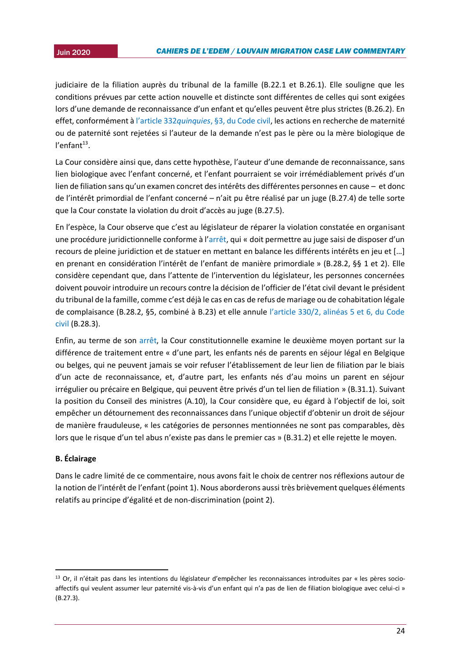judiciaire de la filiation auprès du tribunal de la famille (B.22.1 et B.26.1). Elle souligne que les conditions prévues par cette action nouvelle et distincte sont différentes de celles qui sont exigées lors d'une demande de reconnaissance d'un enfant et qu'elles peuvent être plus strictes (B.26.2). En effet, conformément à l'article 332*quinquies*[, §3, du Code civil,](http://www.ejustice.just.fgov.be/eli/loi/1804/03/21/1804032150/justel) les actions en recherche de maternité ou de paternité sont rejetées si l'auteur de la demande n'est pas le père ou la mère biologique de l'enfant<sup>13</sup>.

La Cour considère ainsi que, dans cette hypothèse, l'auteur d'une demande de reconnaissance, sans lien biologique avec l'enfant concerné, et l'enfant pourraient se voir irrémédiablement privés d'un lien de filiation sans qu'un examen concret des intérêts des différentes personnes en cause – et donc de l'intérêt primordial de l'enfant concerné – n'ait pu être réalisé par un juge (B.27.4) de telle sorte que la Cour constate la violation du droit d'accès au juge (B.27.5).

En l'espèce, la Cour observe que c'est au législateur de réparer la violation constatée en organisant une procédure juridictionnelle conforme à l'[arrêt,](https://www.const-court.be/public/f/2020/2020-058f.pdf) qui « doit permettre au juge saisi de disposer d'un recours de pleine juridiction et de statuer en mettant en balance les différents intérêts en jeu et […] en prenant en considération l'intérêt de l'enfant de manière primordiale » (B.28.2, §§ 1 et 2). Elle considère cependant que, dans l'attente de l'intervention du législateur, les personnes concernées doivent pouvoir introduire un recours contre la décision de l'officier de l'état civil devant le président du tribunal de la famille, comme c'est déjà le cas en cas de refus de mariage ou de cohabitation légale de complaisance (B.28.2, §5, combiné à B.23) et elle annule [l'article 330/2, alinéas 5 et 6, du Code](http://www.ejustice.just.fgov.be/eli/loi/1804/03/21/1804032150/justel)  [civil](http://www.ejustice.just.fgov.be/eli/loi/1804/03/21/1804032150/justel) (B.28.3).

Enfin, au terme de son [arrêt,](https://www.const-court.be/public/f/2020/2020-058f.pdf) la Cour constitutionnelle examine le deuxième moyen portant sur la différence de traitement entre « d'une part, les enfants nés de parents en séjour légal en Belgique ou belges, qui ne peuvent jamais se voir refuser l'établissement de leur lien de filiation par le biais d'un acte de reconnaissance, et, d'autre part, les enfants nés d'au moins un parent en séjour irrégulier ou précaire en Belgique, qui peuvent être privés d'un tel lien de filiation » (B.31.1). Suivant la position du Conseil des ministres (A.10), la Cour considère que, eu égard à l'objectif de loi, soit empêcher un détournement des reconnaissances dans l'unique objectif d'obtenir un droit de séjour de manière frauduleuse, « les catégories de personnes mentionnées ne sont pas comparables, dès lors que le risque d'un tel abus n'existe pas dans le premier cas » (B.31.2) et elle rejette le moyen.

## **B. Éclairage**

1

Dans le cadre limité de ce commentaire, nous avons fait le choix de centrer nos réflexions autour de la notion de l'intérêt de l'enfant (point 1). Nous aborderons aussi très brièvement quelques éléments relatifs au principe d'égalité et de non-discrimination (point 2).

<sup>&</sup>lt;sup>13</sup> Or, il n'était pas dans les intentions du législateur d'empêcher les reconnaissances introduites par « les pères socioaffectifs qui veulent assumer leur paternité vis-à-vis d'un enfant qui n'a pas de lien de filiation biologique avec celui-ci » (B.27.3).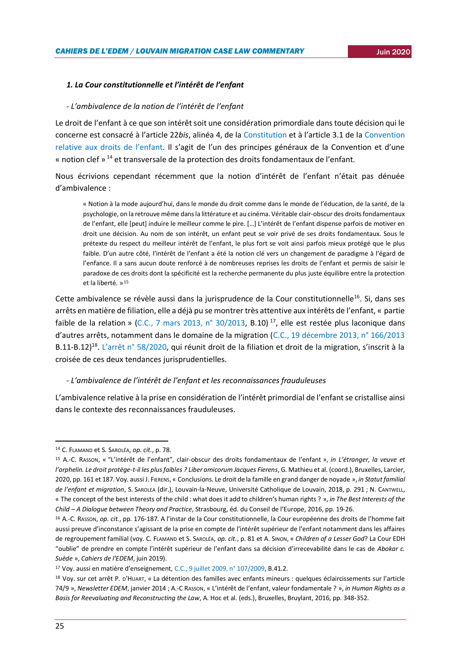## *1. La Cour constitutionnelle et l'intérêt de l'enfant*

#### *- L'ambivalence de la notion de l'intérêt de l'enfant*

Le droit de l'enfant à ce que son intérêt soit une considération primordiale dans toute décision qui le concerne est consacré à l'article 22*bis*, alinéa 4, de la [Constitution](http://www.ejustice.just.fgov.be/eli/constitution/1994/02/17/1994021048/justel) et à l'article 3.1 de la [Convention](https://www.ohchr.org/fr/professionalinterest/pages/crc.aspx)  [relative aux droits de l'enfant.](https://www.ohchr.org/fr/professionalinterest/pages/crc.aspx) Il s'agit de l'un des principes généraux de la Convention et d'une « notion clef »  $^{14}$  et transversale de la protection des droits fondamentaux de l'enfant.

Nous écrivions cependant récemment que la notion d'intérêt de l'enfant n'était pas dénuée d'ambivalence :

« Notion à la mode aujourd'hui, dans le monde du droit comme dans le monde de l'éducation, de la santé, de la psychologie, on la retrouve même dans la littérature et au cinéma. Véritable clair-obscur des droits fondamentaux de l'enfant, elle [peut] induire le meilleur comme le pire. […] L'intérêt de l'enfant dispense parfois de motiver en droit une décision. Au nom de son intérêt, un enfant peut se voir privé de ses droits fondamentaux. Sous le prétexte du respect du meilleur intérêt de l'enfant, le plus fort se voit ainsi parfois mieux protégé que le plus faible. D'un autre côté, l'intérêt de l'enfant a été la notion clé vers un changement de paradigme à l'égard de l'enfance. Il a sans aucun doute renforcé à de nombreuses reprises les droits de l'enfant et permis de saisir le paradoxe de ces droits dont la spécificité est la recherche permanente du plus juste équilibre entre la protection et la liberté. » 15

Cette ambivalence se révèle aussi dans la jurisprudence de la Cour constitutionnelle<sup>16</sup>. Si, dans ses arrêts en matière de filiation, elle a déjà pu se montrer très attentive aux intérêts de l'enfant, « partie faible de la relation » [\(C.C., 7 mars 2013, n° 30/2013,](https://www.const-court.be/public/f/2013/2013-030f.pdf) B.10) <sup>17</sup>, elle est restée plus laconique dans d'autres arrêts, notamment dans le domaine de la migration ([C.C., 19 décembre 2013, n° 166/2013](https://www.const-court.be/public/f/2013/2013-166f.pdf) B.11-B.12)<sup>18</sup>. [L'arrêt n° 58/2020,](https://www.const-court.be/public/f/2020/2020-058f.pdf) qui réunit droit de la filiation et droit de la migration, s'inscrit à la croisée de ces deux tendances jurisprudentielles.

#### *- L'ambivalence de l'intérêt de l'enfant et les reconnaissances frauduleuses*

L'ambivalence relative à la prise en considération de l'intérêt primordial de l'enfant se cristallise ainsi dans le contexte des reconnaissances frauduleuses.

-

<sup>14</sup> C. FLAMAND et S. SAROLÉA, *op. cit.*, p. 78.

<sup>15</sup> A.-C. RASSON, « "L'intérêt de l'enfant", clair-obscur des droits fondamentaux de l'enfant », *in L'étranger, la veuve et l'orphelin. Le droit protège-t-il les plus faibles ? Liber amicorum Jacques Fierens*, G. Mathieu et al. (coord.), Bruxelles, Larcier, 2020, pp. 161 et 187. Voy. aussi J. FIERENS, « Conclusions. Le droit de la famille en grand danger de noyade », *in Statut familial de l'enfant et migration*, S. SAROLEA (dir.), Louvain-la-Neuve, Université Catholique de Louvain, 2018, p. 291 ; N. CANTWELL, « The concept of the best interests of the child : what does it add to children's human rights ? », *in The Best Interests of the Child – A Dialogue between Theory and Practice*, Strasbourg, éd. du Conseil de l'Europe, 2016, pp. 19-26.

<sup>16</sup> A.-C. RASSON, *op. cit.*, pp. 176-187. A l'instar de la Cour constitutionnelle, la Cour européenne des droits de l'homme fait aussi preuve d'inconstance s'agissant de la prise en compte de l'intérêt supérieur de l'enfant notamment dans les affaires de regroupement familial (voy. C. FLAMAND et S. SAROLÉA, *op. cit.*, p. 81 et A. SINON, « *Children of a Lesser God*? La Cour EDH "oublie" de prendre en compte l'intérêt supérieur de l'enfant dans sa décision d'irrecevabilité dans le cas de *Abokar c. Suède* », *Cahiers de l'EDEM*, juin 2019).

<sup>17</sup> Voy. aussi en matière d'enseignement, [C.C., 9 juillet 2009, n° 107/2009,](https://www.const-court.be/public/f/2009/2009-107f.pdf) B.41.2.

<sup>18</sup> Voy. sur cet arrêt P. D'HUART, « La détention des familles avec enfants mineurs : quelques éclaircissements sur l'article 74/9 », *Newsletter EDEM*, janvier 2014 ; A.-C RASSON, « L'intérêt de l'enfant, valeur fondamentale ? », *in Human Rights as a Basis for Reevaluating and Reconstructing the Law*, A. Hoc et al. (eds.), Bruxelles, Bruylant, 2016, pp. 348-352.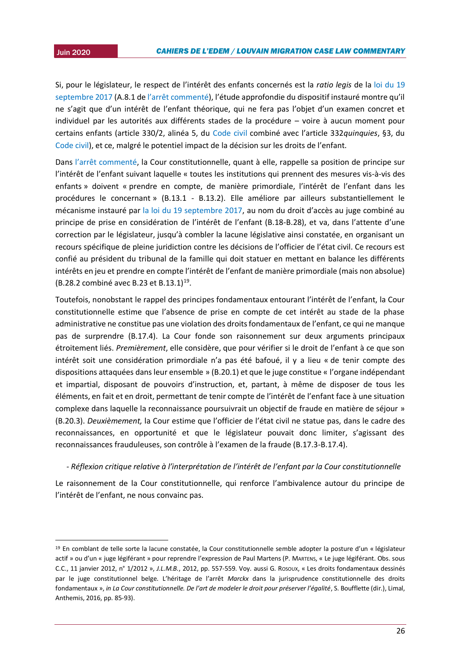1

2015 Si, pour le législateur, le respect de l'intérêt des enfants concernés est la *ratio legis* de la [loi du 19](http://www.ejustice.just.fgov.be/eli/loi/2017/09/19/2017013422/justel)  [septembre 2017](http://www.ejustice.just.fgov.be/eli/loi/2017/09/19/2017013422/justel) (A.8.1 de [l'arrêt commenté\)](https://www.const-court.be/public/f/2020/2020-058f.pdf), l'étude approfondie du dispositif instauré montre qu'il ne s'agit que d'un intérêt de l'enfant théorique, qui ne fera pas l'objet d'un examen concret et individuel par les autorités aux différents stades de la procédure – voire à aucun moment pour certains enfants (article 330/2, alinéa 5, du [Code civil](http://www.ejustice.just.fgov.be/eli/loi/1804/03/21/1804032150/justel) combiné avec l'article 332*quinquies*, §3, du [Code civil\)](http://www.ejustice.just.fgov.be/eli/loi/1804/03/21/1804032150/justel), et ce, malgré le potentiel impact de la décision sur les droits de l'enfant.

Dans [l'arrêt commenté](https://www.const-court.be/public/f/2020/2020-058f.pdf), la Cour constitutionnelle, quant à elle, rappelle sa position de principe sur l'intérêt de l'enfant suivant laquelle « toutes les institutions qui prennent des mesures vis-à-vis des enfants » doivent « prendre en compte, de manière primordiale, l'intérêt de l'enfant dans les procédures le concernant » (B.13.1 - B.13.2). Elle améliore par ailleurs substantiellement le mécanisme instauré par [la loi du 19 septembre 2017](http://www.ejustice.just.fgov.be/eli/loi/2017/09/19/2017013422/justel), au nom du droit d'accès au juge combiné au principe de prise en considération de l'intérêt de l'enfant (B.18-B.28), et va, dans l'attente d'une correction par le législateur, jusqu'à combler la lacune législative ainsi constatée, en organisant un recours spécifique de pleine juridiction contre les décisions de l'officier de l'état civil. Ce recours est confié au président du tribunal de la famille qui doit statuer en mettant en balance les différents intérêts en jeu et prendre en compte l'intérêt de l'enfant de manière primordiale (mais non absolue)  $(B.28.2 \text{ combiné avec } B.23 \text{ et } B.13.1)^{19}.$ 

Toutefois, nonobstant le rappel des principes fondamentaux entourant l'intérêt de l'enfant, la Cour constitutionnelle estime que l'absence de prise en compte de cet intérêt au stade de la phase administrative ne constitue pas une violation des droits fondamentaux de l'enfant, ce qui ne manque pas de surprendre (B.17.4). La Cour fonde son raisonnement sur deux arguments principaux étroitement liés. *Premièrement*, elle considère, que pour vérifier si le droit de l'enfant à ce que son intérêt soit une considération primordiale n'a pas été bafoué, il y a lieu « de tenir compte des dispositions attaquées dans leur ensemble » (B.20.1) et que le juge constitue « l'organe indépendant et impartial, disposant de pouvoirs d'instruction, et, partant, à même de disposer de tous les éléments, en fait et en droit, permettant de tenir compte de l'intérêt de l'enfant face à une situation complexe dans laquelle la reconnaissance poursuivrait un objectif de fraude en matière de séjour » (B.20.3). *Deuxièmement,* la Cour estime que l'officier de l'état civil ne statue pas, dans le cadre des reconnaissances, en opportunité et que le législateur pouvait donc limiter, s'agissant des reconnaissances frauduleuses, son contrôle à l'examen de la fraude (B.17.3-B.17.4).

#### *- Réflexion critique relative à l'interprétation de l'intérêt de l'enfant par la Cour constitutionnelle*

Le raisonnement de la Cour constitutionnelle, qui renforce l'ambivalence autour du principe de l'intérêt de l'enfant, ne nous convainc pas.

<sup>19</sup> En comblant de telle sorte la lacune constatée, la Cour constitutionnelle semble adopter la posture d'un « législateur actif » ou d'un « juge légiférant » pour reprendre l'expression de Paul Martens (P. MARTENS, « Le juge légiférant. Obs. sous C.C., 11 janvier 2012, n° 1/2012 », *J.L.M.B.*, 2012, pp. 557-559. Voy. aussi G. ROSOUX, « Les droits fondamentaux dessinés par le juge constitutionnel belge. L'héritage de l'arrêt *Marckx* dans la jurisprudence constitutionnelle des droits fondamentaux », *in La Cour constitutionnelle. De l'art de modeler le droit pour préserver l'égalité*, S. Boufflette (dir.), Limal, Anthemis, 2016, pp. 85-93).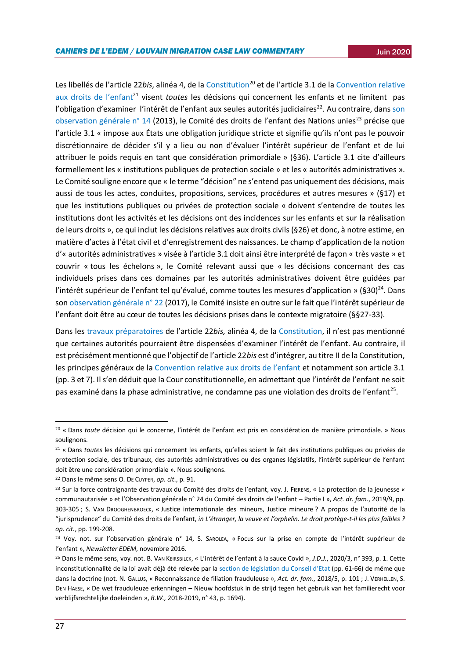Les libellés de l'article 22*bis*, alinéa 4, de l[a Constitution](http://www.ejustice.just.fgov.be/eli/constitution/1994/02/17/1994021048/justel)<sup>20</sup> et de l'article 3.1 de la [Convention relative](https://www.ohchr.org/fr/professionalinterest/pages/crc.aspx)  [aux droits de l'enfant](https://www.ohchr.org/fr/professionalinterest/pages/crc.aspx)<sup>21</sup> visent *toutes* les décisions qui concernent les enfants et ne limitent pas l'obligation d'examiner l'intérêt de l'enfant aux seules autorités judiciaires<sup>22</sup>. Au contraire, dans son [observation générale n° 14](http://docstore.ohchr.org/SelfServices/FilesHandler.ashx?enc=6QkG1d%2fPPRiCAqhKb7yhsqIkirKQZLK2M58RF%2f5F0vEAXPu5AtSWvliDPBvwUDNUcLY%2bjlY9LwV%2bqu%2f76ghnF%2baUQn2TVpxfQJuaZ63OcSIgS3GLsZmifOGAZjGqixsZ) (2013), le Comité des droits de l'enfant des Nations unies<sup>23</sup> précise que l'article 3.1 « impose aux États une obligation juridique stricte et signifie qu'ils n'ont pas le pouvoir discrétionnaire de décider s'il y a lieu ou non d'évaluer l'intérêt supérieur de l'enfant et de lui attribuer le poids requis en tant que considération primordiale » (§36). L'article 3.1 cite d'ailleurs formellement les « institutions publiques de protection sociale » et les « autorités administratives ». Le Comité souligne encore que « le terme "décision" ne s'entend pas uniquement des décisions, mais aussi de tous les actes, conduites, propositions, services, procédures et autres mesures » (§17) et que les institutions publiques ou privées de protection sociale « doivent s'entendre de toutes les institutions dont les activités et les décisions ont des incidences sur les enfants et sur la réalisation de leurs droits », ce qui inclut les décisions relatives aux droits civils (§26) et donc, à notre estime, en matière d'actes à l'état civil et d'enregistrement des naissances. Le champ d'application de la notion d'« autorités administratives » visée à l'article 3.1 doit ainsi être interprété de façon « très vaste » et couvrir « tous les échelons », le Comité relevant aussi que « les décisions concernant des cas individuels prises dans ces domaines par les autorités administratives doivent être guidées par l'intérêt supérieur de l'enfant tel qu'évalué, comme toutes les mesures d'application » (§30)<sup>24</sup>. Dans son [observation générale n° 22](https://documents-dds-ny.un.org/doc/UNDOC/GEN/G17/343/60/PDF/G1734360.pdf?OpenElement) (2017), le Comité insiste en outre sur le fait que l'intérêt supérieur de l'enfant doit être au cœur de toutes les décisions prises dans le contexte migratoire (§§27-33).

Dans les [travaux préparatoires](https://www.dekamer.be/FLWB/PDF/52/0175/52K0175005.pdf) de l'article 22*bis,* alinéa 4, de la [Constitution](http://www.ejustice.just.fgov.be/eli/constitution/1994/02/17/1994021048/justel), il n'est pas mentionné que certaines autorités pourraient être dispensées d'examiner l'intérêt de l'enfant. Au contraire, il est précisément mentionné que l'objectif de l'article 22*bis* est d'intégrer, au titre II de la Constitution, les principes généraux de la Convention relativ[e aux droits de l'enfant](https://www.ohchr.org/fr/professionalinterest/pages/crc.aspx) et notamment son article 3.1 (pp. 3 et 7). Il s'en déduit que la Cour constitutionnelle, en admettant que l'intérêt de l'enfant ne soit pas examiné dans la phase administrative, ne condamne pas une violation des droits de l'enfant<sup>25</sup>.

<sup>20</sup> « Dans *toute* décision qui le concerne, l'intérêt de l'enfant est pris en considération de manière primordiale. » Nous soulignons.

<sup>21</sup> « Dans *toutes* les décisions qui concernent les enfants, qu'elles soient le fait des institutions publiques ou privées de protection sociale, des tribunaux, des autorités administratives ou des organes législatifs, l'intérêt supérieur de l'enfant doit être une considération primordiale ». Nous soulignons.

<sup>22</sup> Dans le même sens O. DE CUYPER, *op. cit*., p. 91.

<sup>&</sup>lt;sup>23</sup> Sur la force contraignante des travaux du Comité des droits de l'enfant, voy. J. FIERENS, « La protection de la jeunesse « communautarisée » et l'Observation générale n° 24 du Comité des droits de l'enfant – Partie I », *Act. dr. fam.*, 2019/9, pp. 303-305 ; S. VAN DROOGHENBROECK, « Justice internationale des mineurs, Justice mineure ? A propos de l'autorité de la "jurisprudence" du Comité des droits de l'enfant, *in L'étranger, la veuve et l'orphelin. Le droit protège-t-il les plus faibles ? op. cit.*, pp. 199-208.

<sup>&</sup>lt;sup>24</sup> Voy. not. sur l'observation générale n° 14, S. SAROLEA, « Focus sur la prise en compte de l'intérêt supérieur de l'enfant », *Newsletter EDEM*, novembre 2016.

<sup>25</sup> Dans le même sens, voy. not. B. VAN KEIRSBILCK, « L'intérêt de l'enfant à la sauce Covid », *J.D.J.*, 2020/3, n° 393, p. 1. Cette inconstitutionnalité de la loi avait déjà été relevée par la [section de législation du Conseil d'Etat](https://www.lachambre.be/FLWB/PDF/54/2529/54K2529001.pdf) (pp. 61-66) de même que dans la doctrine (not. N. GALLUS, « Reconnaissance de filiation frauduleuse », *Act. dr. fam.*, 2018/5, p. 101 ; J. VERHELLEN, S. DEN HAESE, « De wet frauduleuze erkenningen – Nieuw hoofdstuk in de strijd tegen het gebruik van het familierecht voor verblijfsrechtelijke doeleinden », *R.W.,* 2018-2019, n° 43, p. 1694).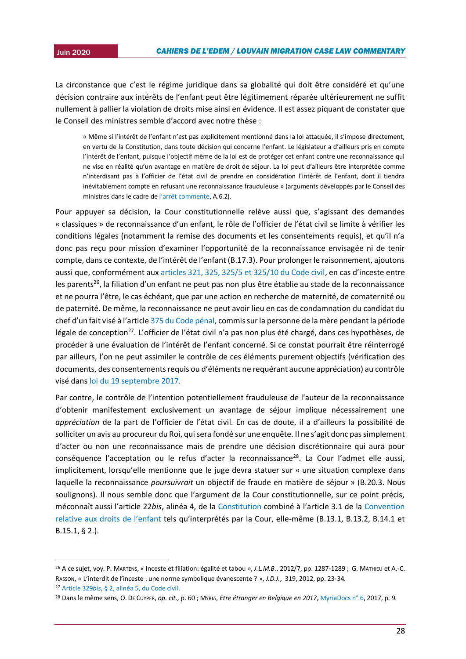La circonstance que c'est le régime juridique dans sa globalité qui doit être considéré et qu'une décision contraire aux intérêts de l'enfant peut être légitimement réparée ultérieurement ne suffit nullement à pallier la violation de droits mise ainsi en évidence. Il est assez piquant de constater que le Conseil des ministres semble d'accord avec notre thèse :

« Même si l'intérêt de l'enfant n'est pas explicitement mentionné dans la loi attaquée, il s'impose directement, en vertu de la Constitution, dans toute décision qui concerne l'enfant. Le législateur a d'ailleurs pris en compte l'intérêt de l'enfant, puisque l'objectif même de la loi est de protéger cet enfant contre une reconnaissance qui ne vise en réalité qu'un avantage en matière de droit de séjour. La loi peut d'ailleurs être interprétée comme n'interdisant pas à l'officier de l'état civil de prendre en considération l'intérêt de l'enfant, dont il tiendra inévitablement compte en refusant une reconnaissance frauduleuse » (arguments développés par le Conseil des ministres dans le cadre de [l'arrêt commenté](https://www.const-court.be/public/f/2020/2020-058f.pdf), A.6.2).

Pour appuyer sa décision, la Cour constitutionnelle relève aussi que, s'agissant des demandes « classiques » de reconnaissance d'un enfant, le rôle de l'officier de l'état civil se limite à vérifier les conditions légales (notamment la remise des documents et les consentements requis), et qu'il n'a donc pas reçu pour mission d'examiner l'opportunité de la reconnaissance envisagée ni de tenir compte, dans ce contexte, de l'intérêt de l'enfant (B.17.3). Pour prolonger le raisonnement, ajoutons aussi que, conformément aux articles 321, [325, 325/5 et 325/10 du Code civil](http://www.ejustice.just.fgov.be/eli/loi/1804/03/21/1804032150/justel), en cas d'inceste entre les parents<sup>26</sup>, la filiation d'un enfant ne peut pas non plus être établie au stade de la reconnaissance et ne pourra l'être, le cas échéant, que par une action en recherche de maternité, de comaternité ou de paternité. De même, la reconnaissance ne peut avoir lieu en cas de condamnation du candidat du chef d'un fait visé à l'article [375 du Code pénal,](http://www.ejustice.just.fgov.be/eli/loi/1867/06/08/1867060850/justel) commis sur la personne de la mère pendant la période légale de conception<sup>27</sup>. L'officier de l'état civil n'a pas non plus été chargé, dans ces hypothèses, de procéder à une évaluation de l'intérêt de l'enfant concerné. Si ce constat pourrait être réinterrogé par ailleurs, l'on ne peut assimiler le contrôle de ces éléments purement objectifs (vérification des documents, des consentements requis ou d'éléments ne requérant aucune appréciation) au contrôle visé dans [loi du 19 septembre 2017.](http://www.ejustice.just.fgov.be/eli/loi/2017/09/19/2017013422/justel)

Par contre, le contrôle de l'intention potentiellement frauduleuse de l'auteur de la reconnaissance d'obtenir manifestement exclusivement un avantage de séjour implique nécessairement une *appréciation* de la part de l'officier de l'état civil. En cas de doute, il a d'ailleurs la possibilité de solliciter un avis au procureur du Roi, qui sera fondé sur une enquête. Il ne s'agit donc pas simplement d'acter ou non une reconnaissance mais de prendre une décision discrétionnaire qui aura pour conséquence l'acceptation ou le refus d'acter la reconnaissance<sup>28</sup>. La Cour l'admet elle aussi, implicitement, lorsqu'elle mentionne que le juge devra statuer sur « une situation complexe dans laquelle la reconnaissance *poursuivrait* un objectif de fraude en matière de séjour » (B.20.3. Nous soulignons). Il nous semble donc que l'argument de la Cour constitutionnelle, sur ce point précis, méconnaît aussi l'article 22*bis*, alinéa 4, de la [Constitution](http://www.ejustice.just.fgov.be/eli/constitution/1994/02/17/1994021048/justel) combiné à l'article 3.1 de la [Convention](https://www.ohchr.org/fr/professionalinterest/pages/crc.aspx)  [relative aux droits de l'enfant](https://www.ohchr.org/fr/professionalinterest/pages/crc.aspx) tels qu'interprétés par la Cour, elle-même (B.13.1, B.13.2, B.14.1 et B.15.1, § 2.).

<sup>26</sup> A ce sujet, voy. P. MARTENS, « Inceste et filiation: égalité et tabou », *J.L.M.B.*, 2012/7, pp. 1287-1289 ; G. MATHIEU et A.-C. RASSON, « L'interdit de l'inceste : une norme symbolique évanescente ? », *J.D.J.*, 319, 2012, pp. 23‑34.

<sup>27</sup> Article 329*bis*[, § 2, alinéa 5, du Code civil.](http://www.ejustice.just.fgov.be/eli/loi/1804/03/21/1804032150/justel)

<sup>28</sup> Dans le même sens, O. DE CUYPER, *op. cit.,* p. 60 ; MYRIA, *Etre étranger en Belgique en 2017*[, MyriaDocs n° 6,](https://www.myria.be/files/171212_Myriadoc_6_%C3%8Atre_%C3%A9tranger_en_Belgique_en_2017_FR.pdf) 2017, p. 9.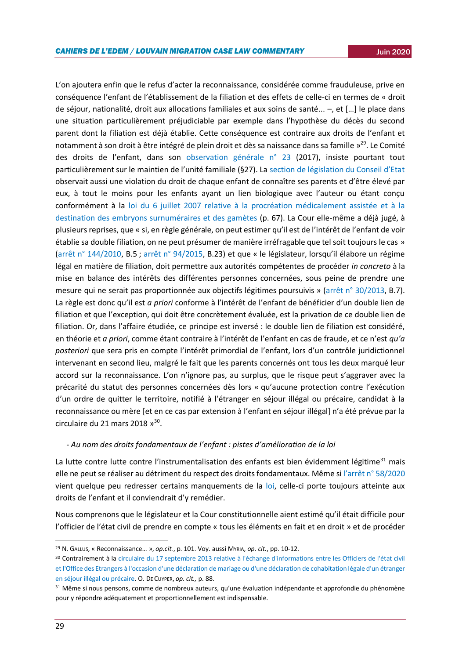L'on ajoutera enfin que le refus d'acter la reconnaissance, considérée comme frauduleuse, prive en conséquence l'enfant de l'établissement de la filiation et des effets de celle-ci en termes de « droit de séjour, nationalité, droit aux allocations familiales et aux soins de santé... –, et […] le place dans une situation particulièrement préjudiciable par exemple dans l'hypothèse du décès du second parent dont la filiation est déjà établie. Cette conséquence est contraire aux droits de l'enfant et notamment à son droit à être intégré de plein droit et dès sa naissance dans sa famille »<sup>29</sup>. Le Comité des droits de l'enfant, dans son [observation générale n° 23](https://documents-dds-ny.un.org/doc/UNDOC/GEN/G17/343/66/PDF/G1734366.pdf?OpenElement) (2017), insiste pourtant tout particulièrement sur le maintien de l'unité familiale (§27). La secti[on de législation du Conseil d'Etat](https://www.lachambre.be/FLWB/PDF/54/2529/54K2529001.pdf) observait aussi une violation du droit de chaque enfant de connaître ses parents et d'être élevé par eux, à tout le moins pour les enfants ayant un lien biologique avec l'auteur ou étant conçu conformément à la [loi du 6 juillet 2007 relative à la procréation médicalement assistée et à la](http://www.ejustice.just.fgov.be/eli/loi/2007/07/06/2007023090/justel)  [destination des embryons surnuméraires et des gamètes](http://www.ejustice.just.fgov.be/eli/loi/2007/07/06/2007023090/justel) (p. 67). La Cour elle-même a déjà jugé, à plusieurs reprises, que « si, en règle générale, on peut estimer qu'il est de l'intérêt de l'enfant de voir établie sa double filiation, on ne peut présumer de manière irréfragable que tel soit toujours le cas » [\(arrêt n° 144/2010,](https://www.const-court.be/public/f/2010/2010-144f.pdf) B.5 ; [arrêt n° 94/2015,](https://www.const-court.be/public/f/2015/2015-094f.pdf) B.23) et que « le législateur, lorsqu'il élabore un régime légal en matière de filiation, doit permettre aux autorités compétentes de procéder *in concreto* à la mise en balance des intérêts des différentes personnes concernées, sous peine de prendre une mesure qui ne serait pas proportionnée aux objectifs légitimes poursuivis » [\(arrêt n° 30/2013,](https://www.const-court.be/public/f/2013/2013-030f.pdf) B.7). La règle est donc qu'il est *a priori* conforme à l'intérêt de l'enfant de bénéficier d'un double lien de filiation et que l'exception, qui doit être concrètement évaluée, est la privation de ce double lien de filiation. Or, dans l'affaire étudiée, ce principe est inversé : le double lien de filiation est considéré, en théorie et *a priori*, comme étant contraire à l'intérêt de l'enfant en cas de fraude, et ce n'est *qu'a posteriori* que sera pris en compte l'intérêt primordial de l'enfant, lors d'un contrôle juridictionnel intervenant en second lieu, malgré le fait que les parents concernés ont tous les deux marqué leur accord sur la reconnaissance. L'on n'ignore pas, au surplus, que le risque peut s'aggraver avec la précarité du statut des personnes concernées dès lors « qu'aucune protection contre l'exécution d'un ordre de quitter le territoire, notifié à l'étranger en séjour illégal ou précaire, candidat à la reconnaissance ou mère [et en ce cas par extension à l'enfant en séjour illégal] n'a été prévue par la circulaire du 21 mars 2018 »<sup>30</sup>.

#### *- Au nom des droits fondamentaux de l'enfant : pistes d'amélioration de la loi*

La lutte contre lutte contre l'instrumentalisation des enfants est bien évidemment légitime<sup>31</sup> mais elle ne peut se réaliser au détriment du respect des droits fondamentaux. Même si [l'arrêt n° 58/2020](https://www.const-court.be/public/f/2020/2020-058f.pdf) vient quelque peu redresser certains manquements de la [loi,](http://www.ejustice.just.fgov.be/eli/loi/2017/09/19/2017013422/justel) celle-ci porte toujours atteinte aux droits de l'enfant et il conviendrait d'y remédier.

Nous comprenons que le législateur et la Cour constitutionnelle aient estimé qu'il était difficile pour l'officier de l'état civil de prendre en compte « tous les éléments en fait et en droit » et de procéder

<sup>29</sup> N. GALLUS, « Reconnaissance… », *op.cit.*, p. 101. Voy. aussi MYRIA, *op. cit.*, pp. 10-12.

<sup>30</sup> Contrairement à la [circulaire du 17 septembre 2013 relative à l'échange d'informations entre les Officiers de l'état civil](http://www.ejustice.just.fgov.be/mopdf/2013/09/23_1.pdf#Page79)  [et l'Office des Etrangers à l'occasion d'une déclaration de mariage ou d'une déclaration de cohabitation légale d'un étranger](http://www.ejustice.just.fgov.be/mopdf/2013/09/23_1.pdf#Page79)  [en séjour illégal ou précaire.](http://www.ejustice.just.fgov.be/mopdf/2013/09/23_1.pdf#Page79) O. DE CUYPER, *op. cit.,* p. 88.

<sup>&</sup>lt;sup>31</sup> Même si nous pensons, comme de nombreux auteurs, qu'une évaluation indépendante et approfondie du phénomène pour y répondre adéquatement et proportionnellement est indispensable.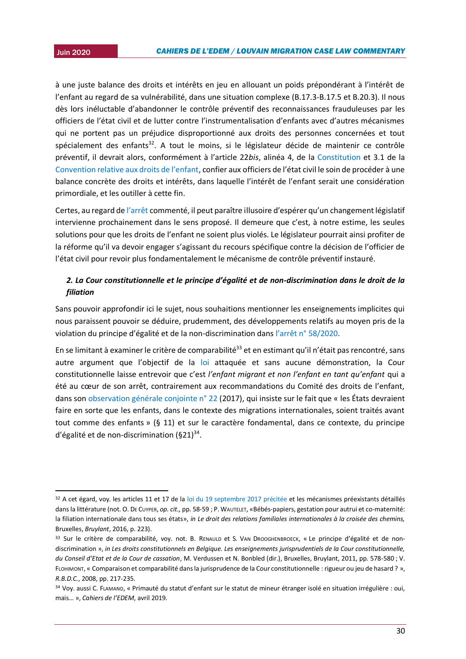-

2015 à une juste balance des droits et intérêts en jeu en allouant un poids prépondérant à l'intérêt de l'enfant au regard de sa vulnérabilité, dans une situation complexe (B.17.3-B.17.5 et B.20.3). Il nous dès lors inéluctable d'abandonner le contrôle préventif des reconnaissances frauduleuses par les officiers de l'état civil et de lutter contre l'instrumentalisation d'enfants avec d'autres mécanismes qui ne portent pas un préjudice disproportionné aux droits des personnes concernées et tout spécialement des enfants<sup>32</sup>. A tout le moins, si le législateur décide de maintenir ce contrôle préventif, il devrait alors, conformément à l'article 22*bis*, alinéa 4, de la [Constitution](http://www.ejustice.just.fgov.be/eli/constitution/1994/02/17/1994021048/justel) et 3.1 de la [Convention relative aux droits de l'enfant](https://www.ohchr.org/fr/professionalinterest/pages/crc.aspx), confier aux officiers de l'état civil le soin de procéder à une balance concrète des droits et intérêts, dans laquelle l'intérêt de l'enfant serait une considération primordiale, et les outiller à cette fin.

Certes, au regard de [l'arrêt](https://www.const-court.be/public/f/2020/2020-058f.pdf) commenté, il peut paraître illusoire d'espérer qu'un changement législatif intervienne prochainement dans le sens proposé. Il demeure que c'est, à notre estime, les seules solutions pour que les droits de l'enfant ne soient plus violés. Le législateur pourrait ainsi profiter de la réforme qu'il va devoir engager s'agissant du recours spécifique contre la décision de l'officier de l'état civil pour revoir plus fondamentalement le mécanisme de contrôle préventif instauré.

## *2. La Cour constitutionnelle et le principe d'égalité et de non-discrimination dans le droit de la filiation*

Sans pouvoir approfondir ici le sujet, nous souhaitions mentionner les enseignements implicites qui nous paraissent pouvoir se déduire, prudemment, des développements relatifs au moyen pris de la violation du principe d'égalité et de la non-discrimination dans [l'arrêt n° 58/2020](https://www.const-court.be/public/f/2020/2020-058f.pdf).

En se limitant à examiner le critère de comparabilité<sup>33</sup> et en estimant qu'il n'était pas rencontré, sans autre argument que l'objectif de la [loi](http://www.ejustice.just.fgov.be/eli/loi/2017/09/19/2017013422/justel) attaquée et sans aucune démonstration, la Cour constitutionnelle laisse entrevoir que c'est *l'enfant migrant et non l'enfant en tant qu'enfant* qui a été au cœur de son arrêt, contrairement aux recommandations du Comité des droits de l'enfant, dans son [observation générale conjointe n° 22](https://documents-dds-ny.un.org/doc/UNDOC/GEN/G17/343/60/PDF/G1734360.pdf?OpenElement) (2017), qui insiste sur le fait que « les États devraient faire en sorte que les enfants, dans le contexte des migrations internationales, soient traités avant tout comme des enfants » (§ 11) et sur le caractère fondamental, dans ce contexte, du principe d'égalité et de non-discrimination (§21)<sup>34</sup>.

<sup>32</sup> A cet égard, voy. les articles 11 et 17 de la [loi du 19 septembre 2017 précitée](http://www.ejustice.just.fgov.be/eli/loi/2017/09/19/2017013422/justel) et les mécanismes préexistants détaillés dans la littérature (not. O. DE CUYPER, *op. cit.,* pp. 58-59 ; P. WAUTELET, «Bébés-papiers, gestation pour autrui et co-maternité: la filiation internationale dans tous ses états», *in Le droit des relations familiales internationales à la croisée des chemins,*  Bruxelles, *Bruylant*, 2016, p. 223).

<sup>33</sup> Sur le critère de comparabilité, voy. not. B. RENAULD et S. VAN DROOGHENBROECK, « Le principe d'égalité et de nondiscrimination », *in Les droits constitutionnels en Belgique. Les enseignements jurisprudentiels de la Cour constitutionnelle, du Conseil d'Etat et de la Cour de cassation*, M. Verdussen et N. Bonbled (dir.), Bruxelles, Bruylant, 2011, pp. 578-580 ; V. FLOHIMONT, « Comparaison et comparabilité dans la jurisprudence de la Cour constitutionnelle : rigueur ou jeu de hasard ? », *R.B.D.C.*, 2008, pp. 217-235.

<sup>34</sup> Voy. aussi C. FLAMAND, « Primauté du statut d'enfant sur le statut de mineur étranger isolé en situation irrégulière : oui, mais… », *Cahiers de l'EDEM*, avril 2019.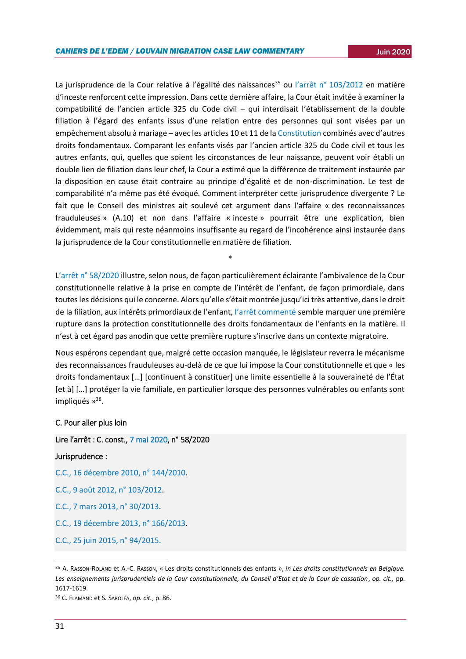La jurisprudence de la Cour relative à l'égalité des naissances<sup>35</sup> ou l'[arrêt n° 103/2012](https://www.const-court.be/public/f/2012/2012-103f.pdf) en matière d'inceste renforcent cette impression. Dans cette dernière affaire, la Cour était invitée à examiner la compatibilité de l'ancien article 325 du Code civil – qui interdisait l'établissement de la double filiation à l'égard des enfants issus d'une relation entre des personnes qui sont visées par un empêchement absolu à mariage – avec les articles 10 et 11 de l[a Constitution](http://www.ejustice.just.fgov.be/eli/constitution/1994/02/17/1994021048/justel) combinés avec d'autres droits fondamentaux. Comparant les enfants visés par l'ancien article 325 du Code civil et tous les autres enfants, qui, quelles que soient les circonstances de leur naissance, peuvent voir établi un double lien de filiation dans leur chef, la Cour a estimé que la différence de traitement instaurée par la disposition en cause était contraire au principe d'égalité et de non-discrimination. Le test de comparabilité n'a même pas été évoqué. Comment interpréter cette jurisprudence divergente ? Le fait que le Conseil des ministres ait soulevé cet argument dans l'affaire « des reconnaissances frauduleuses » (A.10) et non dans l'affaire « inceste » pourrait être une explication, bien évidemment, mais qui reste néanmoins insuffisante au regard de l'incohérence ainsi instaurée dans la jurisprudence de la Cour constitutionnelle en matière de filiation.

L'[arrêt n° 58/2020](https://www.const-court.be/public/f/2020/2020-058f.pdf) illustre, selon nous, de façon particulièrement éclairante l'ambivalence de la Cour constitutionnelle relative à la prise en compte de l'intérêt de l'enfant, de façon primordiale, dans toutes les décisions qui le concerne. Alors qu'elle s'était montrée jusqu'ici très attentive, dans le droit de la filiation, aux intérêts primordiaux de l'enfant, [l'arrêt commenté](https://www.const-court.be/public/f/2020/2020-058f.pdf) semble marquer une première rupture dans la protection constitutionnelle des droits fondamentaux de l'enfants en la matière*.* Il n'est à cet égard pas anodin que cette première rupture s'inscrive dans un contexte migratoire.

\*

Nous espérons cependant que, malgré cette occasion manquée, le législateur reverra le mécanisme des reconnaissances frauduleuses au-delà de ce que lui impose la Cour constitutionnelle et que « les droits fondamentaux […] [continuent à constituer] une limite essentielle à la souveraineté de l'État [et à] […] protéger la vie familiale, en particulier lorsque des personnes vulnérables ou enfants sont impliqués »<sup>36</sup>.

#### C. Pour aller plus loin

## Lire l'arrêt : C. const.[, 7 mai 2020,](https://www.const-court.be/public/f/2020/2020-058f.pdf) n° 58/2020

#### Jurisprudence :

[C.C., 16 décembre 2010, n° 144/2010.](https://www.const-court.be/public/f/2010/2010-144f.pdf)

[C.C., 9 août 2012, n° 103/2012.](https://www.const-court.be/public/f/2012/2012-103f.pdf)

[C.C., 7 mars 2013, n° 30/2013.](https://www.const-court.be/public/f/2013/2013-030f.pdf)

[C.C., 19 décembre 2013, n° 166/2013.](https://www.const-court.be/public/f/2013/2013-166f.pdf)

[C.C., 25 juin 2015, n°](https://www.const-court.be/public/f/2015/2015-094f.pdf) 94/2015.

<sup>35</sup> A. RASSON-ROLAND et A.-C. RASSON, « Les droits constitutionnels des enfants », *in Les droits constitutionnels en Belgique. Les enseignements jurisprudentiels de la Cour constitutionnelle, du Conseil d'Etat et de la Cour de cassation*, *op. cit.,* pp. 1617-1619.

<sup>36</sup> C. FLAMAND et S. SAROLÉA, *op. cit.*, p. 86.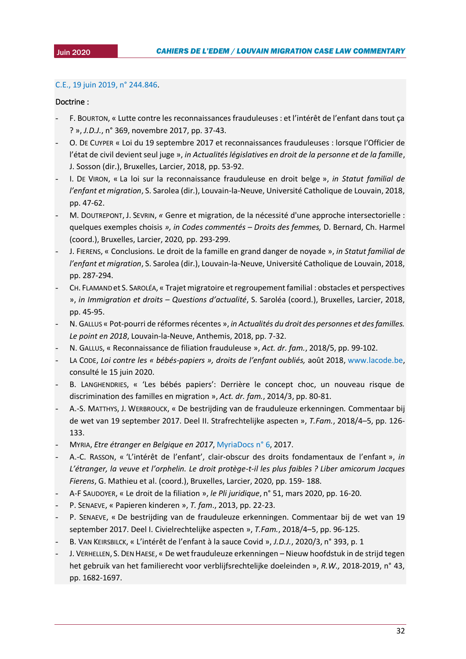## 2015 [C.E., 19 juin 2019, n° 244.846.](http://www.raadvanstate.be/Arrets/244000/800/244846.pdf#xml=http://www.raadvanstate.be/apps/dtsearch/getpdf.asp?DocId=35920&Index=c%3a%5csoftware%5cdtsearch%5cindex%5carrets%5ffr%5c&HitCount=1&hits=1897+&06333820202816)

#### Doctrine :

- F. BOURTON, « Lutte contre les reconnaissances frauduleuses : et l'intérêt de l'enfant dans tout ça ? », *J.D.J.*, n° 369, novembre 2017, pp. 37-43.
- O. DE CUYPER « Loi du 19 septembre 2017 et reconnaissances frauduleuses : lorsque l'Officier de l'état de civil devient seul juge », *in Actualités législatives en droit de la personne et de la famille*, J. Sosson (dir.), Bruxelles, Larcier, 2018, pp. 53-92.
- I. DE VIRON, « La loi sur la reconnaissance frauduleuse en droit belge », *in Statut familial de l'enfant et migration*, S. Sarolea (dir.), Louvain-la-Neuve, Université Catholique de Louvain, 2018, pp. 47-62.
- M. DOUTREPONT, J. SEVRIN, *«* Genre et migration, de la nécessité d'une approche intersectorielle : quelques exemples choisis *», in Codes commentés – Droits des femmes,* D. Bernard, Ch. Harmel (coord.), Bruxelles, Larcier, 2020*,* pp. 293-299.
- J. FIERENS, « Conclusions. Le droit de la famille en grand danger de noyade », *in Statut familial de l'enfant et migration*, S. Sarolea (dir.), Louvain-la-Neuve, Université Catholique de Louvain, 2018, pp. 287-294.
- CH. FLAMAND et S. SAROLÉA, « Trajet migratoire et regroupement familial : obstacles et perspectives », *in Immigration et droits – Questions d'actualité*, S. Saroléa (coord.), Bruxelles, Larcier, 2018, pp. 45-95.
- N. GALLUS « Pot-pourri de réformes récentes », *in Actualités du droit des personnes et des familles. Le point en 2018*, Louvain-la-Neuve, Anthemis, 2018, pp. 7-32.
- N. GALLUS, « Reconnaissance de filiation frauduleuse », *Act. dr. fam.*, 2018/5, pp. 99-102.
- LA CODE, *Loi contre les « bébés-papiers », droits de l'enfant oubliés,* août 2018, [www.lacode.be,](http://www.lacode.be/) consulté le 15 juin 2020.
- B. LANGHENDRIES, « 'Les bébés papiers': Derrière le concept choc, un nouveau risque de discrimination des familles en migration », *Act. dr. fam.*, 2014/3, pp. 80-81.
- A.-S. MATTHYS, J. WERBROUCK, « De bestrijding van de frauduleuze erkenningen. Commentaar bij de wet van 19 september 2017. Deel II. Strafrechtelijke aspecten », *T.Fam.*, 2018/4–5, pp. 126- 133.
- MYRIA, *Etre étranger en Belgique en 2017*, [MyriaDocs n° 6,](https://www.myria.be/files/171212_Myriadoc_6_%C3%8Atre_%C3%A9tranger_en_Belgique_en_2017_FR.pdf) 2017.
- A.-C. RASSON, « 'L'intérêt de l'enfant', clair-obscur des droits fondamentaux de l'enfant », *in L'étranger, la veuve et l'orphelin. Le droit protège-t-il les plus faibles ? Liber amicorum Jacques Fierens*, G. Mathieu et al. (coord.), Bruxelles, Larcier, 2020, pp. 159- 188.
- A-F SAUDOYER, « Le droit de la filiation », *le Pli juridique*, n° 51, mars 2020, pp. 16-20.
- P. SENAEVE, « Papieren kinderen », *T. fam*., 2013, pp. 22-23.
- P. SENAEVE, « De bestrijding van de frauduleuze erkenningen. Commentaar bij de wet van 19 september 2017. Deel I. Civielrechtelijke aspecten », *T.Fam.*, 2018/4–5, pp. 96-125.
- B. VAN KEIRSBILCK, « L'intérêt de l'enfant à la sauce Covid », *J.D.J.*, 2020/3, n° 393, p. 1
- J. VERHELLEN, S. DEN HAESE, « De wet frauduleuze erkenningen Nieuw hoofdstuk in de strijd tegen het gebruik van het familierecht voor verblijfsrechtelijke doeleinden », *R.W.,* 2018-2019, n° 43, pp. 1682-1697.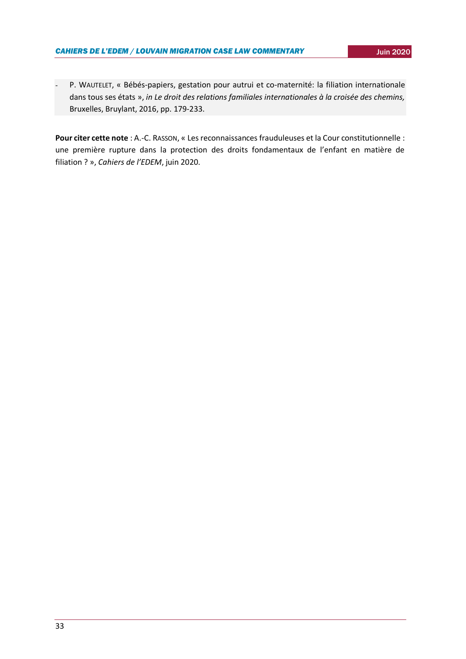P. WAUTELET, « Bébés-papiers, gestation pour autrui et co-maternité: la filiation internationale dans tous ses états », *in Le droit des relations familiales internationales à la croisée des chemins,*  Bruxelles, Bruylant, 2016, pp. 179-233.

**Pour citer cette note** : A.-C. RASSON, « Les reconnaissances frauduleuses et la Cour constitutionnelle : une première rupture dans la protection des droits fondamentaux de l'enfant en matière de filiation ? », *Cahiers de l'EDEM*, juin 2020.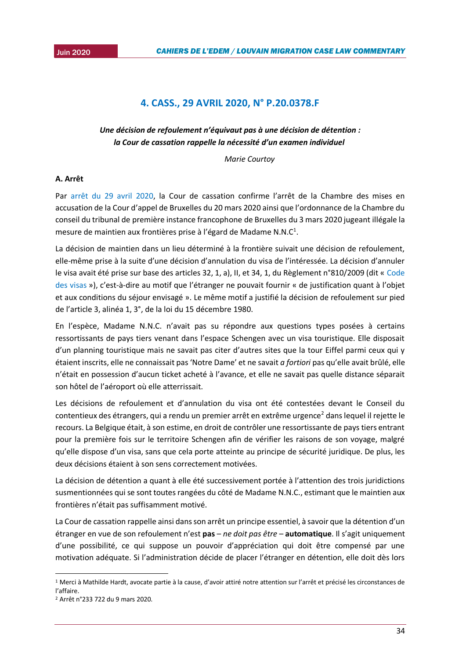## **4. CASS., 29 AVRIL 2020, N° P.20.0378.F**

## <span id="page-33-0"></span>*Une décision de refoulement n'équivaut pas à une décision de détention : la Cour de cassation rappelle la nécessité d'un examen individuel*

*Marie Courtoy*

## **A. Arrêt**

Par [arrêt du 29 avril 2020](http://jure.juridat.just.fgov.be/pdfapp/download_blob?idpdf=F-20200429-2), la Cour de cassation confirme l'arrêt de la Chambre des mises en accusation de la Cour d'appel de Bruxelles du 20 mars 2020 ainsi que l'ordonnance de la Chambre du conseil du tribunal de première instance francophone de Bruxelles du 3 mars 2020 jugeant illégale la mesure de maintien aux frontières prise à l'égard de Madame N.N.C<sup>1</sup>.

La décision de maintien dans un lieu déterminé à la frontière suivait une décision de refoulement, elle-même prise à la suite d'une décision d'annulation du visa de l'intéressée. La décision d'annuler le visa avait été prise sur base des articles 32, 1, a), II, et 34, 1, du Règlement n°810/2009 (dit « [Code](https://eur-lex.europa.eu/legal-content/FR/TXT/PDF/?uri=CELEX:32009R0810&from=EN)  [des visas](https://eur-lex.europa.eu/legal-content/FR/TXT/PDF/?uri=CELEX:32009R0810&from=EN) »), c'est-à-dire au motif que l'étranger ne pouvait fournir « de justification quant à l'objet et aux conditions du séjour envisagé ». Le même motif a justifié la décision de refoulement sur pied de l'article 3, alinéa 1, 3°, de la loi du 15 décembre 1980.

En l'espèce, Madame N.N.C. n'avait pas su répondre aux questions types posées à certains ressortissants de pays tiers venant dans l'espace Schengen avec un visa touristique. Elle disposait d'un planning touristique mais ne savait pas citer d'autres sites que la tour Eiffel parmi ceux qui y étaient inscrits, elle ne connaissait pas 'Notre Dame' et ne savait *a fortiori* pas qu'elle avait brûlé, elle n'était en possession d'aucun ticket acheté à l'avance, et elle ne savait pas quelle distance séparait son hôtel de l'aéroport où elle atterrissait.

Les décisions de refoulement et d'annulation du visa ont été contestées devant le Conseil du contentieux des étrangers, qui a rendu un premier arrêt en extrême urgence<sup>2</sup> dans lequel il rejette le recours. La Belgique était, à son estime, en droit de contrôler une ressortissante de pays tiers entrant pour la première fois sur le territoire Schengen afin de vérifier les raisons de son voyage, malgré qu'elle dispose d'un visa, sans que cela porte atteinte au principe de sécurité juridique. De plus, les deux décisions étaient à son sens correctement motivées.

La décision de détention a quant à elle été successivement portée à l'attention des trois juridictions susmentionnées qui se sont toutes rangées du côté de Madame N.N.C., estimant que le maintien aux frontières n'était pas suffisamment motivé.

La Cour de cassation rappelle ainsi dans son arrêt un principe essentiel, à savoir que la détention d'un étranger en vue de son refoulement n'est **pas** – *ne doit pas être* – **automatique**. Il s'agit uniquement d'une possibilité, ce qui suppose un pouvoir d'appréciation qui doit être compensé par une motivation adéquate. Si l'administration décide de placer l'étranger en détention, elle doit dès lors

**.** 

<sup>1</sup> Merci à Mathilde Hardt, avocate partie à la cause, d'avoir attiré notre attention sur l'arrêt et précisé les circonstances de l'affaire.

<sup>2</sup> Arrêt n°233 722 du 9 mars 2020.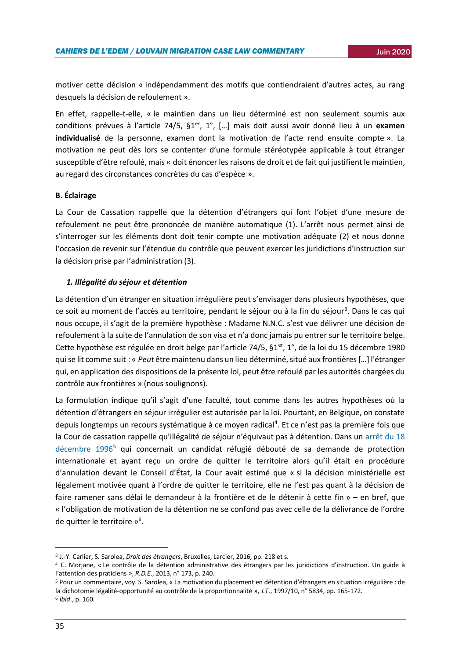motiver cette décision « indépendamment des motifs que contiendraient d'autres actes, au rang desquels la décision de refoulement ».

En effet, rappelle-t-elle, « le maintien dans un lieu déterminé est non seulement soumis aux conditions prévues à l'article 74/5, §1er, 1°, […] mais doit aussi avoir donné lieu à un **examen individualisé** de la personne, examen dont la motivation de l'acte rend ensuite compte ». La motivation ne peut dès lors se contenter d'une formule stéréotypée applicable à tout étranger susceptible d'être refoulé, mais « doit énoncer les raisons de droit et de fait qui justifient le maintien, au regard des circonstances concrètes du cas d'espèce ».

#### **B. Éclairage**

La Cour de Cassation rappelle que la détention d'étrangers qui font l'objet d'une mesure de refoulement ne peut être prononcée de manière automatique (1). L'arrêt nous permet ainsi de s'interroger sur les éléments dont doit tenir compte une motivation adéquate (2) et nous donne l'occasion de revenir sur l'étendue du contrôle que peuvent exercer les juridictions d'instruction sur la décision prise par l'administration (3).

#### *1. Illégalité du séjour et détention*

La détention d'un étranger en situation irrégulière peut s'envisager dans plusieurs hypothèses, que ce soit au moment de l'accès au territoire, pendant le séjour ou à la fin du séjour<sup>3</sup>. Dans le cas qui nous occupe, il s'agit de la première hypothèse : Madame N.N.C. s'est vue délivrer une décision de refoulement à la suite de l'annulation de son visa et n'a donc jamais pu entrer sur le territoire belge. Cette hypothèse est régulée en droit belge par l'article 74/5, §1<sup>er</sup>, 1°, de la loi du 15 décembre 1980 qui se lit comme suit : « *Peut* être maintenu dans un lieu déterminé, situé aux frontières […] l'étranger qui, en application des dispositions de la présente loi, peut être refoulé par les autorités chargées du contrôle aux frontières » (nous soulignons).

La formulation indique qu'il s'agit d'une faculté, tout comme dans les autres hypothèses où la détention d'étrangers en séjour irrégulier est autorisée par la loi. Pourtant, en Belgique, on constate depuis longtemps un recours systématique à ce moyen radical<sup>4</sup>. Et ce n'est pas la première fois que la Cour de cassation rappelle qu'illégalité de séjour n'équivaut pas à détention. Dans un arrêt du 18 [décembre 1996](http://jure.juridat.just.fgov.be/JuridatSearchCombined/printDecision.jsp)<sup>5</sup> qui concernait un candidat réfugié débouté de sa demande de protection internationale et ayant reçu un ordre de quitter le territoire alors qu'il était en procédure d'annulation devant le Conseil d'État, la Cour avait estimé que « si la décision ministérielle est légalement motivée quant à l'ordre de quitter le territoire, elle ne l'est pas quant à la décision de faire ramener sans délai le demandeur à la frontière et de le détenir à cette fin » – en bref, que « l'obligation de motivation de la détention ne se confond pas avec celle de la délivrance de l'ordre de quitter le territoire »<sup>6</sup>.

<sup>3</sup> J.-Y. Carlier, S. Sarolea, *Droit des étrangers*, Bruxelles, Larcier, 2016, pp. 218 et s.

<sup>4</sup> C. Morjane, « Le contrôle de la détention administrative des étrangers par les juridictions d'instruction. Un guide à l'attention des praticiens », *R.D.E*., 2013, n° 173, p. 240.

<sup>5</sup> Pour un commentaire, voy. S. Sarolea, « La motivation du placement en détention d'étrangers en situation irrégulière : de la dichotomie légalité-opportunité au contrôle de la proportionnalité », *J.T*., 1997/10, n° 5834, pp. 165-172.

<sup>6</sup> *Ibid*., p. 160.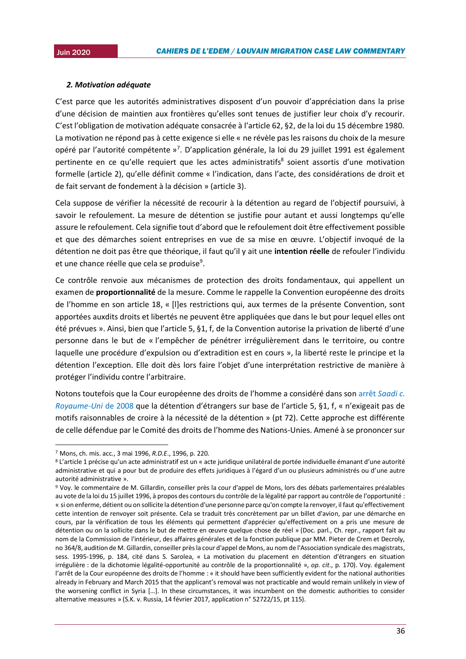#### 2015*2. Motivation adéquate*

C'est parce que les autorités administratives disposent d'un pouvoir d'appréciation dans la prise d'une décision de maintien aux frontières qu'elles sont tenues de justifier leur choix d'y recourir. C'est l'obligation de motivation adéquate consacrée à l'article 62, §2, de la loi du 15 décembre 1980. La motivation ne répond pas à cette exigence si elle « ne révèle pas les raisons du choix de la mesure opéré par l'autorité compétente »<sup>7</sup>. D'application générale, la loi du 29 juillet 1991 est également pertinente en ce qu'elle requiert que les actes administratifs<sup>8</sup> soient assortis d'une motivation formelle (article 2), qu'elle définit comme « l'indication, dans l'acte, des considérations de droit et de fait servant de fondement à la décision » (article 3).

Cela suppose de vérifier la nécessité de recourir à la détention au regard de l'objectif poursuivi, à savoir le refoulement. La mesure de détention se justifie pour autant et aussi longtemps qu'elle assure le refoulement. Cela signifie tout d'abord que le refoulement doit être effectivement possible et que des démarches soient entreprises en vue de sa mise en œuvre. L'objectif invoqué de la détention ne doit pas être que théorique, il faut qu'il y ait une **intention réelle** de refouler l'individu et une chance réelle que cela se produise<sup>9</sup>.

Ce contrôle renvoie aux mécanismes de protection des droits fondamentaux, qui appellent un examen de **proportionnalité** de la mesure. Comme le rappelle la Convention européenne des droits de l'homme en son article 18, « [l]es restrictions qui, aux termes de la présente Convention, sont apportées auxdits droits et libertés ne peuvent être appliquées que dans le but pour lequel elles ont été prévues ». Ainsi, bien que l'article 5, §1, f, de la Convention autorise la privation de liberté d'une personne dans le but de « l'empêcher de pénétrer irrégulièrement dans le territoire, ou contre laquelle une procédure d'expulsion ou d'extradition est en cours », la liberté reste le principe et la détention l'exception. Elle doit dès lors faire l'objet d'une interprétation restrictive de manière à protéger l'individu contre l'arbitraire.

Notons toutefois que la Cour européenne des droits de l'homme a considéré dans son arrêt *[Saadi c.](https://hudoc.echr.coe.int/eng#{%22itemid%22:[%22001-84708%22]})  [Royaume-Uni](https://hudoc.echr.coe.int/eng#{%22itemid%22:[%22001-84708%22]})* de 2008 que la détention d'étrangers sur base de l'article 5, §1, f, « n'exigeait pas de motifs raisonnables de croire à la nécessité de la détention » (pt 72). Cette approche est différente de celle défendue par le Comité des droits de l'homme des Nations-Unies. Amené à se prononcer sur

**.** 

<sup>7</sup> Mons, ch. mis. acc., 3 mai 1996, *R.D.E*., 1996, p. 220.

<sup>8</sup> L'article 1 précise qu'un acte administratif est un « acte juridique unilatéral de portée individuelle émanant d'une autorité administrative et qui a pour but de produire des effets juridiques à l'égard d'un ou plusieurs administrés ou d'une autre autorité administrative ».

<sup>9</sup> Voy. le commentaire de M. Gillardin, conseiller près la cour d'appel de Mons, lors des débats parlementaires préalables au vote de la loi du 15 juillet 1996, à propos des contours du contrôle de la légalité par rapport au contrôle de l'opportunité : « si on enferme, détient ou on sollicite la détention d'une personne parce qu'on compte la renvoyer, il faut qu'effectivement cette intention de renvoyer soit présente. Cela se traduit très concrètement par un billet d'avion, par une démarche en cours, par la vérification de tous les éléments qui permettent d'apprécier qu'effectivement on a pris une mesure de détention ou on la sollicite dans le but de mettre en œuvre quelque chose de réel » (Doc. parl., Ch. repr., rapport fait au nom de la Commission de l'intérieur, des affaires générales et de la fonction publique par MM. Pieter de Crem et Decroly, no 364/8, audition de M. Gillardin, conseiller près la cour d'appel de Mons, au nom de l'Association syndicale des magistrats, sess. 1995-1996, p. 184, cité dans S. Sarolea, « La motivation du placement en détention d'étrangers en situation irrégulière : de la dichotomie légalité-opportunité au contrôle de la proportionnalité », *op. cit*., p. 170). Voy. également l'arrêt de la Cour européenne des droits de l'homme : « it should have been sufficiently evident for the national authorities already in February and March 2015 that the applicant's removal was not practicable and would remain unlikely in view of the worsening conflict in Syria […]. In these circumstances, it was incumbent on the domestic authorities to consider alternative measures » (S.K. v. Russia, 14 février 2017, application n° 52722/15, pt 115).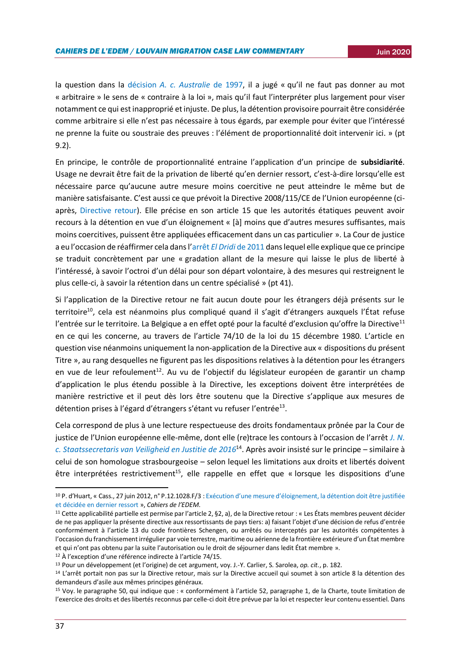la question dans la décision *[A. c. Australie](file:///C:/Users/marie/Downloads/G9716491.pdf)* de 1997, il a jugé « qu'il ne faut pas donner au mot « arbitraire » le sens de « contraire à la loi », mais qu'il faut l'interpréter plus largement pour viser notamment ce qui est inapproprié et injuste. De plus, la détention provisoire pourrait être considérée comme arbitraire si elle n'est pas nécessaire à tous égards, par exemple pour éviter que l'intéressé ne prenne la fuite ou soustraie des preuves : l'élément de proportionnalité doit intervenir ici. » (pt 9.2).

En principe, le contrôle de proportionnalité entraine l'application d'un principe de **subsidiarité**. Usage ne devrait être fait de la privation de liberté qu'en dernier ressort, c'est-à-dire lorsqu'elle est nécessaire parce qu'aucune autre mesure moins coercitive ne peut atteindre le même but de manière satisfaisante. C'est aussi ce que prévoit la Directive 2008/115/CE de l'Union européenne (ciaprès, [Directive retour\)](https://eur-lex.europa.eu/legal-content/FR/TXT/PDF/?uri=CELEX:32008L0115&from=FR). Elle précise en son article 15 que les autorités étatiques peuvent avoir recours à la détention en vue d'un éloignement « [à] moins que d'autres mesures suffisantes, mais moins coercitives, puissent être appliquées efficacement dans un cas particulier ». La Cour de justice a eu l'occasion de réaffirmer cela dans l'arrêt *El Dridi* [de 2011](http://curia.europa.eu/juris/document/document.jsf?docid=82038&doclang=fr) dans lequel elle explique que ce principe se traduit concrètement par une « gradation allant de la mesure qui laisse le plus de liberté à l'intéressé, à savoir l'octroi d'un délai pour son départ volontaire, à des mesures qui restreignent le plus celle-ci, à savoir la rétention dans un centre spécialisé » (pt 41).

Si l'application de la Directive retour ne fait aucun doute pour les étrangers déjà présents sur le territoire<sup>10</sup>, cela est néanmoins plus compliqué quand il s'agit d'étrangers auxquels l'État refuse l'entrée sur le territoire. La Belgique a en effet opté pour la faculté d'exclusion qu'offre la Directive<sup>11</sup> en ce qui les concerne, au travers de l'article 74/10 de la loi du 15 décembre 1980. L'article en question vise néanmoins uniquement la non-application de la Directive aux « dispositions du présent Titre », au rang desquelles ne figurent pas les dispositions relatives à la détention pour les étrangers en vue de leur refoulement<sup>12</sup>. Au vu de l'objectif du législateur européen de garantir un champ d'application le plus étendu possible à la Directive, les exceptions doivent être interprétées de manière restrictive et il peut dès lors être soutenu que la Directive s'applique aux mesures de détention prises à l'égard d'étrangers s'étant vu refuser l'entrée<sup>13</sup>.

Cela correspond de plus à une lecture respectueuse des droits fondamentaux prônée par la Cour de justice de l'Union européenne elle-même, dont elle (re)trace les contours à l'occasion de l'arrêt *[J. N.](http://curia.europa.eu/juris/document/document.jsf?docid=174342&doclang=FR)  c. [Staatssecretaris van Veiligheid en Justitie de 2016](http://curia.europa.eu/juris/document/document.jsf?docid=174342&doclang=FR)*<sup>14</sup>. Après avoir insisté sur le principe – similaire à celui de son homologue strasbourgeoise – selon lequel les limitations aux droits et libertés doivent être interprétées restrictivement<sup>15</sup>, elle rappelle en effet que « lorsque les dispositions d'une

<sup>10</sup> P. d'Huart, « Cass., 27 juin 2012, n° P.12.1028.F/3 : [Exécution d'une mesure d'éloignement, la détention doit être justifiée](https://uclouvain.be/fr/instituts-recherche/juri/cedie/actualites/cour-cass-belg-a-n-27-juin-2012-n-p-12-1028-f-3.html)  [et décidée en dernier ressort](https://uclouvain.be/fr/instituts-recherche/juri/cedie/actualites/cour-cass-belg-a-n-27-juin-2012-n-p-12-1028-f-3.html) », *Cahiers de l'EDEM*.

<sup>11</sup> Cette applicabilité partielle est permise par l'article 2, §2, a), de la Directive retour : « Les États membres peuvent décider de ne pas appliquer la présente directive aux ressortissants de pays tiers: a) faisant l'objet d'une décision de refus d'entrée conformément à l'article 13 du code frontières Schengen, ou arrêtés ou interceptés par les autorités compétentes à l'occasion du franchissement irrégulier par voie terrestre, maritime ou aérienne de la frontière extérieure d'un État membre et qui n'ont pas obtenu par la suite l'autorisation ou le droit de séjourner dans ledit État membre ».

<sup>&</sup>lt;sup>12</sup> À l'exception d'une référence indirecte à l'article 74/15.

<sup>13</sup> Pour un développement (et l'origine) de cet argument, voy. J.-Y. Carlier, S. Sarolea, *op. cit.*, p. 182.

<sup>14</sup> L'arrêt portait non pas sur la Directive retour, mais sur la Directive accueil qui soumet à son article 8 la détention des demandeurs d'asile aux mêmes principes généraux.

<sup>15</sup> Voy. le paragraphe 50, qui indique que : « conformément à l'article 52, paragraphe 1, de la Charte, toute limitation de l'exercice des droits et des libertés reconnus par celle-ci doit être prévue par la loi et respecter leur contenu essentiel. Dans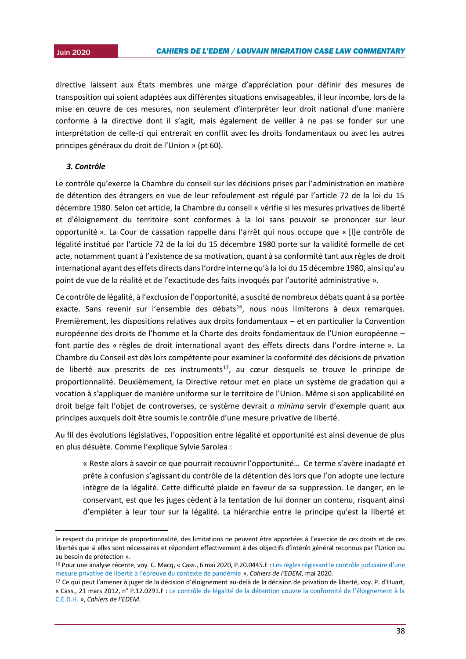2015 directive laissent aux États membres une marge d'appréciation pour définir des mesures de transposition qui soient adaptées aux différentes situations envisageables, il leur incombe, lors de la mise en œuvre de ces mesures, non seulement d'interpréter leur droit national d'une manière conforme à la directive dont il s'agit, mais également de veiller à ne pas se fonder sur une interprétation de celle-ci qui entrerait en conflit avec les droits fondamentaux ou avec les autres principes généraux du droit de l'Union » (pt 60).

## *3. Contrôle*

1

Le contrôle qu'exerce la Chambre du conseil sur les décisions prises par l'administration en matière de détention des étrangers en vue de leur refoulement est régulé par l'article 72 de la loi du 15 décembre 1980. Selon cet article, la Chambre du conseil « vérifie si les mesures privatives de liberté et d'éloignement du territoire sont conformes à la loi sans pouvoir se prononcer sur leur opportunité ». La Cour de cassation rappelle dans l'arrêt qui nous occupe que « [l]e contrôle de légalité institué par l'article 72 de la loi du 15 décembre 1980 porte sur la validité formelle de cet acte, notamment quant à l'existence de sa motivation, quant à sa conformité tant aux règles de droit international ayant des effets directs dans l'ordre interne qu'à la loi du 15 décembre 1980, ainsi qu'au point de vue de la réalité et de l'exactitude des faits invoqués par l'autorité administrative ».

Ce contrôle de légalité, à l'exclusion de l'opportunité, a suscité de nombreux débats quant à sa portée exacte. Sans revenir sur l'ensemble des débats<sup>16</sup>, nous nous limiterons à deux remarques. Premièrement, les dispositions relatives aux droits fondamentaux – et en particulier la Convention européenne des droits de l'homme et la Charte des droits fondamentaux de l'Union européenne – font partie des « règles de droit international ayant des effets directs dans l'ordre interne ». La Chambre du Conseil est dès lors compétente pour examiner la conformité des décisions de privation de liberté aux prescrits de ces instruments<sup>17</sup>, au cœur desquels se trouve le principe de proportionnalité. Deuxièmement, la Directive retour met en place un système de gradation qui a vocation à s'appliquer de manière uniforme sur le territoire de l'Union. Même si son applicabilité en droit belge fait l'objet de controverses, ce système devrait *a minima* servir d'exemple quant aux principes auxquels doit être soumis le contrôle d'une mesure privative de liberté.

Au fil des évolutions législatives, l'opposition entre légalité et opportunité est ainsi devenue de plus en plus désuète. Comme l'explique Sylvie Sarolea :

« Reste alors à savoir ce que pourrait recouvrir l'opportunité… Ce terme s'avère inadapté et prête à confusion s'agissant du contrôle de la détention dès lors que l'on adopte une lecture intègre de la légalité. Cette difficulté plaide en faveur de sa suppression. Le danger, en le conservant, est que les juges cèdent à la tentation de lui donner un contenu, risquant ainsi d'empiéter à leur tour sur la légalité. La hiérarchie entre le principe qu'est la liberté et

le respect du principe de proportionnalité, des limitations ne peuvent être apportées à l'exercice de ces droits et de ces libertés que si elles sont nécessaires et répondent effectivement à des objectifs d'intérêt général reconnus par l'Union ou au besoin de protection ».

<sup>16</sup> Pour une analyse récente, voy. C. Macq, « Cass., 6 mai 2020, P.20.0445.F : Les règles régissant le contrôle judiciaire d'une [mesure privative de liberté à l'épreuve du contexte de pandémie](https://uclouvain.be/fr/instituts-recherche/juri/cedie/actualites/cass-2e-ch-6-mai-2020-p-20-0445-f.html) », *Cahiers de l'EDEM*, mai 2020.

<sup>17</sup> Ce qui peut l'amener à juger de la décision d'éloignement au-delà de la décision de privation de liberté, voy. P. d'Huart, « Cass., 21 mars 2012, n° P.12.0291.F : [Le contrôle de légalité de la détention couvre la conformité de l'éloignement à la](https://uclouvain.be/fr/instituts-recherche/juri/cedie/actualites/cass-2e-ch-arret-no-p-12-0291-f-21-mars-2012.html)  [C.E.D.H.](https://uclouvain.be/fr/instituts-recherche/juri/cedie/actualites/cass-2e-ch-arret-no-p-12-0291-f-21-mars-2012.html) », *Cahiers de l'EDEM*.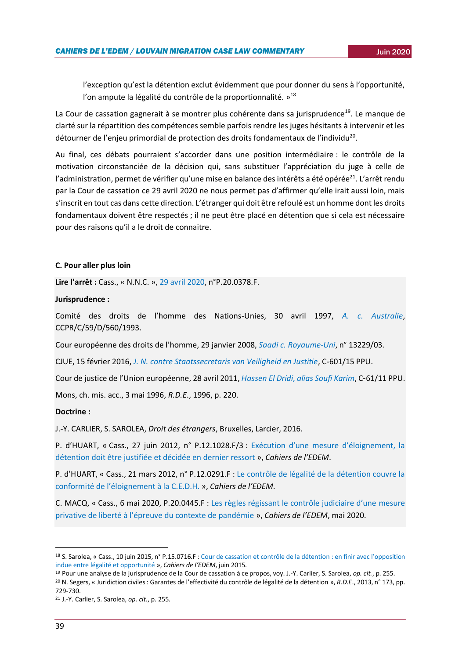l'exception qu'est la détention exclut évidemment que pour donner du sens à l'opportunité, l'on ampute la légalité du contrôle de la proportionnalité. »<sup>18</sup>

La Cour de cassation gagnerait à se montrer plus cohérente dans sa jurisprudence<sup>19</sup>. Le manque de clarté sur la répartition des compétences semble parfois rendre les juges hésitants à intervenir et les détourner de l'enjeu primordial de protection des droits fondamentaux de l'individu<sup>20</sup>.

Au final, ces débats pourraient s'accorder dans une position intermédiaire : le contrôle de la motivation circonstanciée de la décision qui, sans substituer l'appréciation du juge à celle de l'administration, permet de vérifier qu'une mise en balance des intérêts a été opérée<sup>21</sup>. L'arrêt rendu par la Cour de cassation ce 29 avril 2020 ne nous permet pas d'affirmer qu'elle irait aussi loin, mais s'inscrit en tout cas dans cette direction. L'étranger qui doit être refoulé est un homme dont les droits fondamentaux doivent être respectés ; il ne peut être placé en détention que si cela est nécessaire pour des raisons qu'il a le droit de connaitre.

#### **C. Pour aller plus loin**

**Lire l'arrêt :** Cass., « N.N.C. », [29 avril 2020,](http://jure.juridat.just.fgov.be/pdfapp/download_blob?idpdf=F-20200429-2) n°P.20.0378.F.

#### **Jurisprudence :**

Comité des droits de l'homme des Nations-Unies, 30 avril 1997, *[A. c. Australie](https://juris.ohchr.org/Search/Details/469)*, CCPR/C/59/D/560/1993.

Cour européenne des droits de l'homme, 29 janvier 2008, *[Saadi c. Royaume-Uni](https://hudoc.echr.coe.int/eng#{%22itemid%22:[%22001-84708%22]})*, n° 13229/03.

CJUE, 15 février 2016, *[J. N. contre Staatssecretaris van Veiligheid en Justitie](http://curia.europa.eu/juris/document/document.jsf?docid=174342&doclang=FR)*, C-601/15 PPU.

Cour de justice de l'Union européenne, 28 avril 2011, *[Hassen El Dridi, alias Soufi Karim](http://curia.europa.eu/juris/document/document.jsf?docid=82038&doclang=fr)*, C‑61/11 PPU.

Mons, ch. mis. acc., 3 mai 1996, *R.D.E*., 1996, p. 220.

#### **Doctrine :**

J.-Y. CARLIER, S. SAROLEA, *Droit des étrangers*, Bruxelles, Larcier, 2016.

P. d'HUART, « Cass., 27 juin 2012, n° P.12.1028.F/3 : [Exécution d'une mesure d'éloignement, la](https://uclouvain.be/fr/instituts-recherche/juri/cedie/actualites/cour-cass-belg-a-n-27-juin-2012-n-p-12-1028-f-3.html)  [détention doit être justifiée et décidée en dernier ressort](https://uclouvain.be/fr/instituts-recherche/juri/cedie/actualites/cour-cass-belg-a-n-27-juin-2012-n-p-12-1028-f-3.html) », *Cahiers de l'EDEM*.

P. d'HUART, « Cass., 21 mars 2012, n° P.12.0291.F : [Le contrôle de légalité de la détention couvre la](https://uclouvain.be/fr/instituts-recherche/juri/cedie/actualites/cass-2e-ch-arret-no-p-12-0291-f-21-mars-2012.html)  [conformité de l'éloign](https://uclouvain.be/fr/instituts-recherche/juri/cedie/actualites/cass-2e-ch-arret-no-p-12-0291-f-21-mars-2012.html)ement à la C.E.D.H. », *Cahiers de l'EDEM*.

C. MACQ, « Cass., 6 mai 2020, P.20.0445.F : [Les règles régissant le contrôle judiciaire d'une](https://uclouvain.be/fr/instituts-recherche/juri/cedie/actualites/cass-2e-ch-6-mai-2020-p-20-0445-f.html) mesure [privative de liberté à l'épreuve du contexte de pandémie](https://uclouvain.be/fr/instituts-recherche/juri/cedie/actualites/cass-2e-ch-6-mai-2020-p-20-0445-f.html) », *Cahiers de l'EDEM*, mai 2020.

<sup>18</sup> S. Sarolea, « Cass., 10 juin 2015, n° P.15.0716.F [: Cour de cassation et contrôle de la détention](https://uclouvain.be/fr/instituts-recherche/juri/cedie/actualites/cass-2eme-ch-10-juin-2015-n-p-15-0716-f-2.html) : en finir avec l'opposition [indue entre légalité et opportunité](https://uclouvain.be/fr/instituts-recherche/juri/cedie/actualites/cass-2eme-ch-10-juin-2015-n-p-15-0716-f-2.html) », *Cahiers de l'EDEM*, juin 2015.

<sup>19</sup> Pour une analyse de la jurisprudence de la Cour de cassation à ce propos, voy. J.-Y. Carlier, S. Sarolea, *op. cit.*, p. 255. <sup>20</sup> N. Segers, « Juridiction civiles : Garantes de l'effectivité du contrôle de légalité de la détention », *R.D.E*., 2013, n° 173, pp. 729-730.

<sup>21</sup> J.-Y. Carlier, S. Sarolea, *op. cit.*, p. 255.